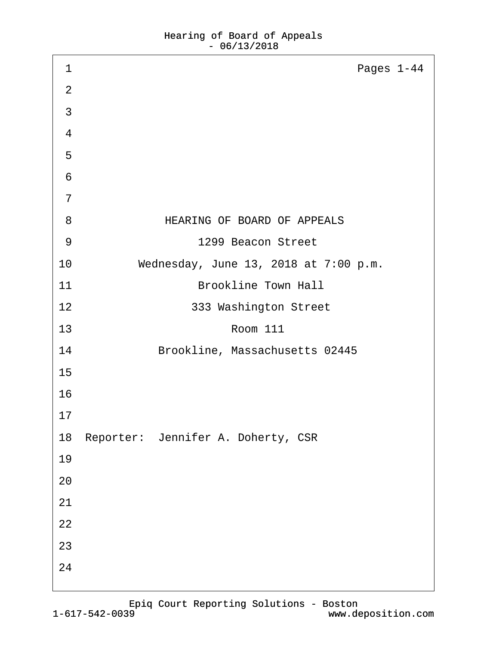| 1              | Pages 1-44                            |
|----------------|---------------------------------------|
| 2              |                                       |
| 3              |                                       |
| 4              |                                       |
| 5              |                                       |
| 6              |                                       |
| $\overline{7}$ |                                       |
| 8              | HEARING OF BOARD OF APPEALS           |
| 9              | 1299 Beacon Street                    |
| 10             | Wednesday, June 13, 2018 at 7:00 p.m. |
| 11             | <b>Brookline Town Hall</b>            |
| 12             | 333 Washington Street                 |
| 13             | <b>Room 111</b>                       |
| 14             | Brookline, Massachusetts 02445        |
| 15             |                                       |
| 16             |                                       |
| 17             |                                       |
|                | 18 Reporter: Jennifer A. Doherty, CSR |
| 19             |                                       |
| 20             |                                       |
| 21             |                                       |
| 22             |                                       |
| 23             |                                       |
| 24             |                                       |
|                |                                       |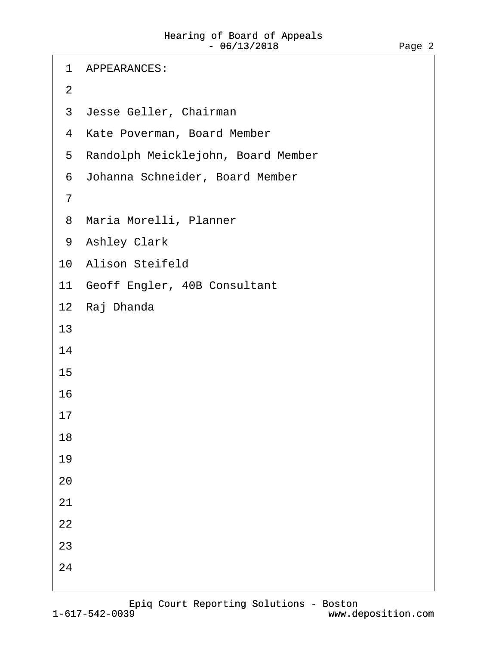| <b>APPEARANCES:</b><br>1             |
|--------------------------------------|
| $\overline{2}$                       |
| 3 Jesse Geller, Chairman             |
| 4 Kate Poverman, Board Member        |
| 5 Randolph Meicklejohn, Board Member |
| 6 Johanna Schneider, Board Member    |
| $\overline{7}$                       |
| 8 Maria Morelli, Planner             |
| 9 Ashley Clark                       |
| 10 Alison Steifeld                   |
| 11 Geoff Engler, 40B Consultant      |
| 12 Raj Dhanda                        |
| 13                                   |
| 14                                   |
| 15                                   |
| 16                                   |
| 17                                   |
| 18                                   |
| 19                                   |
| 20                                   |
| 21                                   |
| 22                                   |
| 23                                   |
| 24                                   |
|                                      |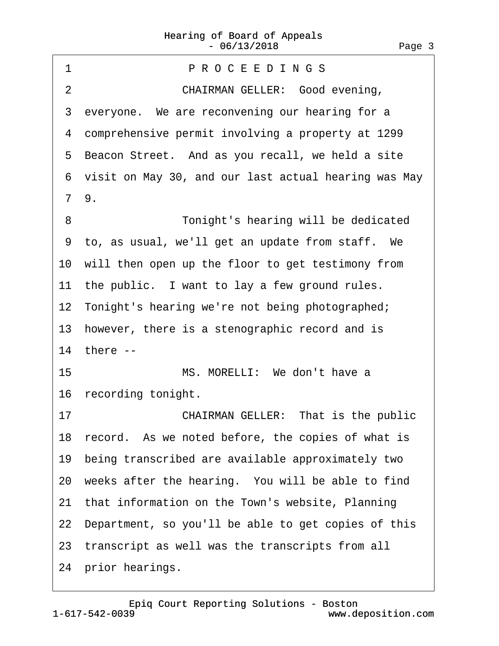<span id="page-2-0"></span>1 PROCEEDINGS 2 **CHAIRMAN GELLER: Good evening,** 3 everyone. We are reconvening our hearing for a ·4· comprehensive permit involving a property at 1299 5 Beacon Street. And as you recall, we held a site ·6· visit on May 30, and our last actual hearing was May ·7· 9. ·8· · · · · · · · ·Tonight's hearing will be dedicated ·9· to, as usual, we'll get an update from staff.· We 10 will then open up the floor to get testimony from 11 the public. I want to lay a few ground rules. 12 Tonight's hearing we're not being photographed; 13 however, there is a stenographic record and is 14 there --15 **· · · · · · MS. MORELLI:** We don't have a 16 recording tonight. 17 **CHAIRMAN GELLER: That is the public** 18 record. As we noted before, the copies of what is 19· being transcribed are available approximately two 20· weeks after the hearing.· You will be able to find 21 that information on the Town's website, Planning 22 Department, so you'll be able to get copies of this 23 transcript as well was the transcripts from all 24 prior hearings.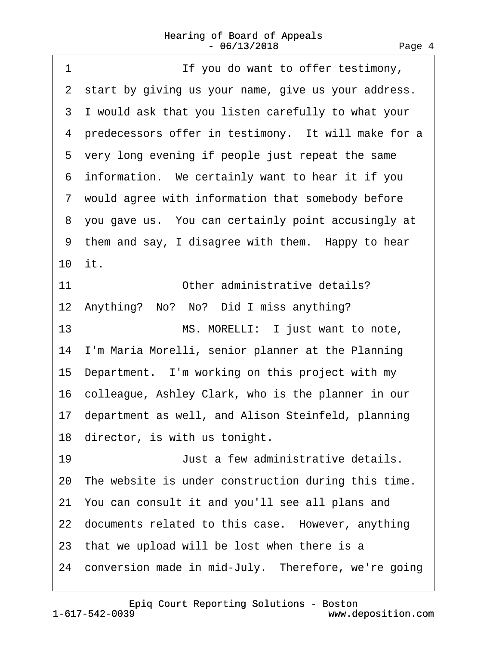<span id="page-3-0"></span>1 **If you do want to offer testimony,** 2 start by giving us your name, give us your address. ·3· I would ask that you listen carefully to what your 4 predecessors offer in testimony. It will make for a 5 very long evening if people just repeat the same 6 information. We certainly want to hear it if you ·7· would agree with information that somebody before 8 you gave us. You can certainly point accusingly at 9 them and say, I disagree with them. Happy to hear 10· it. 11 **Other administrative details?** 12 Anything? No? No? Did I miss anything? 13 MS. MORELLI: I just want to note, 14· I'm Maria Morelli, senior planner at the Planning 15· Department.· I'm working on this project with my 16 colleague, Ashley Clark, who is the planner in our 17 department as well, and Alison Steinfeld, planning 18 director, is with us tonight. 19· · · · · · · · ·Just a few administrative details. 20 The website is under construction during this time. 21· You can consult it and you'll see all plans and 22 documents related to this case. However, anything 23 that we upload will be lost when there is a 24 conversion made in mid-July. Therefore, we're going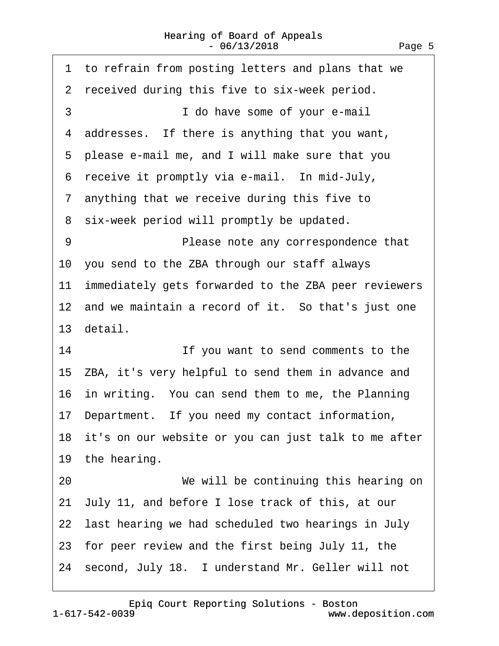<span id="page-4-0"></span>

| 1 to refrain from posting letters and plans that we     |
|---------------------------------------------------------|
| 2 received during this five to six-week period.         |
| 3<br>I do have some of your e-mail                      |
| 4 addresses. If there is anything that you want,        |
| 5 please e-mail me, and I will make sure that you       |
| 6 receive it promptly via e-mail. In mid-July,          |
| 7 anything that we receive during this five to          |
| 8 six-week period will promptly be updated.             |
| 9<br>Please note any correspondence that                |
| 10 you send to the ZBA through our staff always         |
| 11 immediately gets forwarded to the ZBA peer reviewers |
| 12 and we maintain a record of it. So that's just one   |
| 13 detail.                                              |
| 14<br>If you want to send comments to the               |
| 15 ZBA, it's very helpful to send them in advance and   |
| 16 in writing. You can send them to me, the Planning    |
| 17 Department. If you need my contact information,      |
| 18 it's on our website or you can just talk to me after |
| 19 the hearing.                                         |
| 20<br>We will be continuing this hearing on             |
| 21 July 11, and before I lose track of this, at our     |
| 22 last hearing we had scheduled two hearings in July   |
| 23 for peer review and the first being July 11, the     |
| 24 second, July 18. I understand Mr. Geller will not    |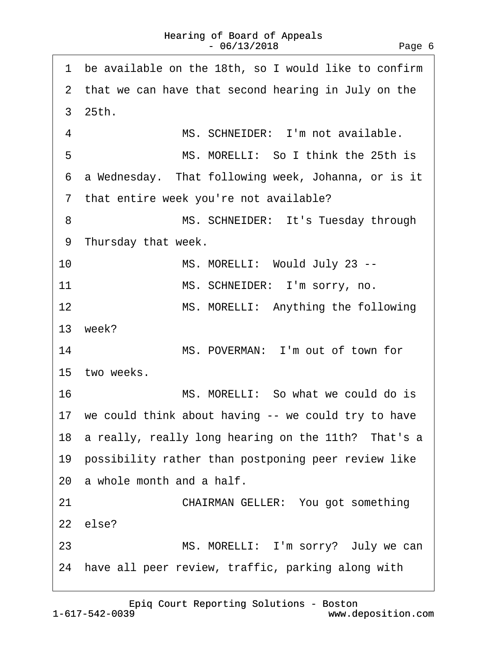<span id="page-5-0"></span>

| be available on the 18th, so I would like to confirm<br>1 |
|-----------------------------------------------------------|
| 2 that we can have that second hearing in July on the     |
| 3 25th.                                                   |
| 4<br>MS. SCHNEIDER: I'm not available.                    |
| 5<br>MS. MORELLI: So I think the 25th is                  |
| 6 a Wednesday. That following week, Johanna, or is it     |
| 7 that entire week you're not available?                  |
| MS. SCHNEIDER: It's Tuesday through<br>8                  |
| 9 Thursday that week.                                     |
| 10<br>MS. MORELLI: Would July 23 --                       |
| 11<br>MS. SCHNEIDER: I'm sorry, no.                       |
| 12<br>MS. MORELLI: Anything the following                 |
| 13 week?                                                  |
| 14<br>MS. POVERMAN: I'm out of town for                   |
| 15 two weeks.                                             |
| 16<br>MS. MORELLI: So what we could do is                 |
| 17 we could think about having -- we could try to have    |
| 18 a really, really long hearing on the 11th? That's a    |
| 19 possibility rather than postponing peer review like    |
| 20 a whole month and a half.                              |
| 21<br>CHAIRMAN GELLER: You got something                  |
| 22 else?                                                  |
| MS. MORELLI: I'm sorry? July we can<br>23                 |
| 24 have all peer review, traffic, parking along with      |
|                                                           |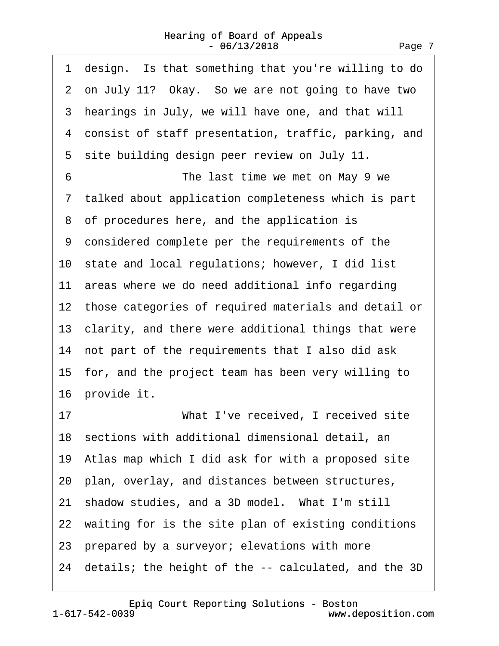<span id="page-6-0"></span>

| 1 design. Is that something that you're willing to do   |
|---------------------------------------------------------|
| 2 on July 11? Okay. So we are not going to have two     |
| 3 hearings in July, we will have one, and that will     |
| 4 consist of staff presentation, traffic, parking, and  |
| 5 site building design peer review on July 11.          |
| 6<br>The last time we met on May 9 we                   |
| 7 talked about application completeness which is part   |
| 8 of procedures here, and the application is            |
| 9 considered complete per the requirements of the       |
| 10 state and local regulations; however, I did list     |
| 11 areas where we do need additional info regarding     |
| 12 those categories of required materials and detail or |
| 13 clarity, and there were additional things that were  |
| 14 not part of the requirements that I also did ask     |
| 15 for, and the project team has been very willing to   |
| 16 provide it.                                          |
| What I've received, I received site<br>17               |
| 18 sections with additional dimensional detail, an      |
| 19 Atlas map which I did ask for with a proposed site   |
| 20 plan, overlay, and distances between structures,     |
| 21 shadow studies, and a 3D model. What I'm still       |
| 22 waiting for is the site plan of existing conditions  |
| 23 prepared by a surveyor; elevations with more         |
| 24 details; the height of the -- calculated, and the 3D |
|                                                         |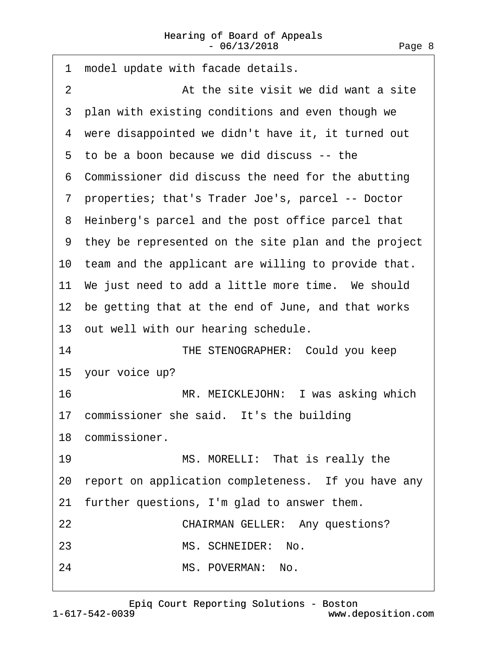<span id="page-7-0"></span>

| 1              | model update with facade details.                      |
|----------------|--------------------------------------------------------|
| $\overline{2}$ | At the site visit we did want a site                   |
|                | 3 plan with existing conditions and even though we     |
|                | 4 were disappointed we didn't have it, it turned out   |
|                | 5 to be a boon because we did discuss -- the           |
|                | 6 Commissioner did discuss the need for the abutting   |
|                | 7 properties; that's Trader Joe's, parcel -- Doctor    |
|                | 8 Heinberg's parcel and the post office parcel that    |
|                | 9 they be represented on the site plan and the project |
|                | 10 team and the applicant are willing to provide that. |
|                | 11 We just need to add a little more time. We should   |
|                | 12 be getting that at the end of June, and that works  |
|                | 13 out well with our hearing schedule.                 |
| 14             | THE STENOGRAPHER: Could you keep                       |
|                | 15 your voice up?                                      |
| 16             | MR. MEICKLEJOHN: I was asking which                    |
|                | 17 commissioner she said. It's the building            |
|                | 18 commissioner.                                       |
| 19             | MS. MORELLI: That is really the                        |
|                | 20 report on application completeness. If you have any |
|                | 21 further questions, I'm glad to answer them.         |
| 22             | <b>CHAIRMAN GELLER: Any questions?</b>                 |
| 23             | MS. SCHNEIDER: No.                                     |
| 24             | MS. POVERMAN: No.                                      |
|                |                                                        |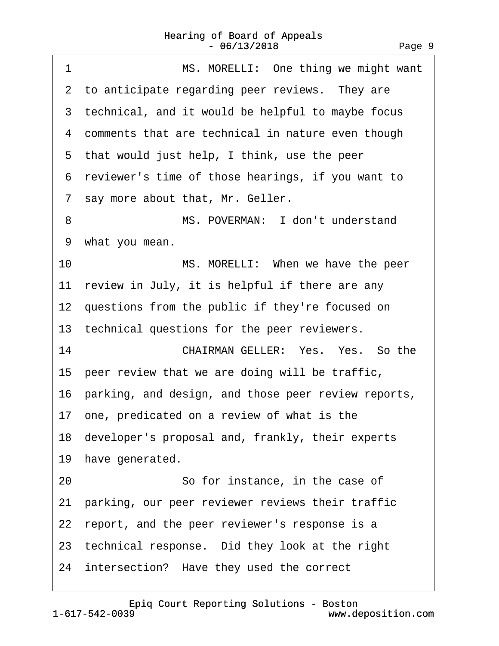<span id="page-8-0"></span>

| MS. MORELLI: One thing we might want<br>1              |
|--------------------------------------------------------|
| 2 to anticipate regarding peer reviews. They are       |
| 3 technical, and it would be helpful to maybe focus    |
| 4 comments that are technical in nature even though    |
| 5 that would just help, I think, use the peer          |
| 6 reviewer's time of those hearings, if you want to    |
| 7 say more about that, Mr. Geller.                     |
| MS. POVERMAN: I don't understand<br>8                  |
| 9 what you mean.                                       |
| 10<br>MS. MORELLI: When we have the peer               |
| 11 review in July, it is helpful if there are any      |
| 12 questions from the public if they're focused on     |
| 13 technical questions for the peer reviewers.         |
| 14<br>CHAIRMAN GELLER: Yes. Yes. So the                |
| 15 peer review that we are doing will be traffic,      |
| 16 parking, and design, and those peer review reports, |
| 17 one, predicated on a review of what is the          |
| 18 developer's proposal and, frankly, their experts    |
| 19 have generated.                                     |
| 20<br>So for instance, in the case of                  |
| 21 parking, our peer reviewer reviews their traffic    |
| 22 report, and the peer reviewer's response is a       |
| 23 technical response. Did they look at the right      |
| 24 intersection? Have they used the correct            |
|                                                        |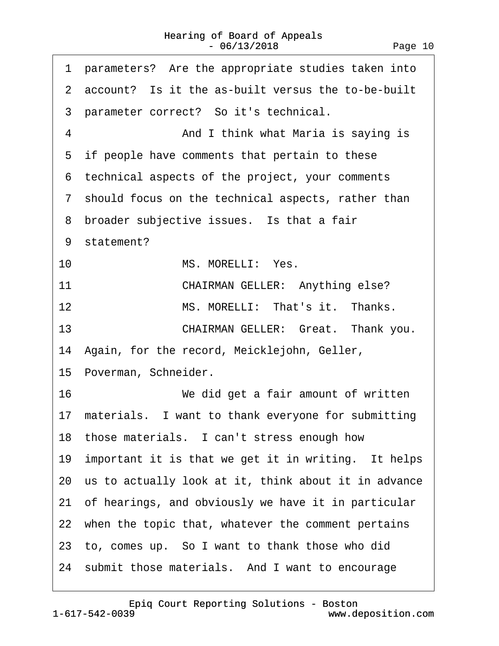<span id="page-9-0"></span>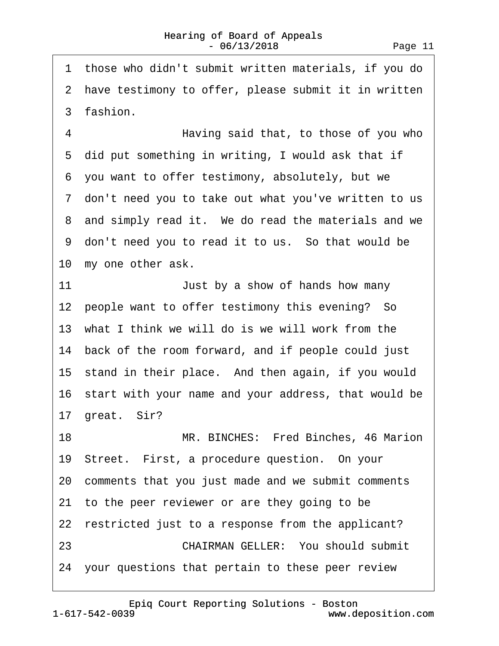<span id="page-10-0"></span>·1· those who didn't submit written materials, if you do 2 have testimony to offer, please submit it in written 3 fashion. 4 • • • • • • Having said that, to those of you who 5 did put something in writing, I would ask that if ·6· you want to offer testimony, absolutely, but we ·7· don't need you to take out what you've written to us 8 and simply read it. We do read the materials and we ·9· don't need you to read it to us.· So that would be 10 my one other ask. 11 **In the State State State State State State State State State State State State State State State State State State State State State State State State State State State State State State State State State State State S** 12 people want to offer testimony this evening? So 13· what I think we will do is we will work from the 14 back of the room forward, and if people could just 15 stand in their place. And then again, if you would 16 start with your name and your address, that would be 17 great. Sir? 18 MR. BINCHES: Fred Binches, 46 Marion 19· Street.· First, a procedure question.· On your 20· comments that you just made and we submit comments 21 to the peer reviewer or are they going to be 22 restricted just to a response from the applicant? 23 **CHAIRMAN GELLER: You should submit** 24· your questions that pertain to these peer review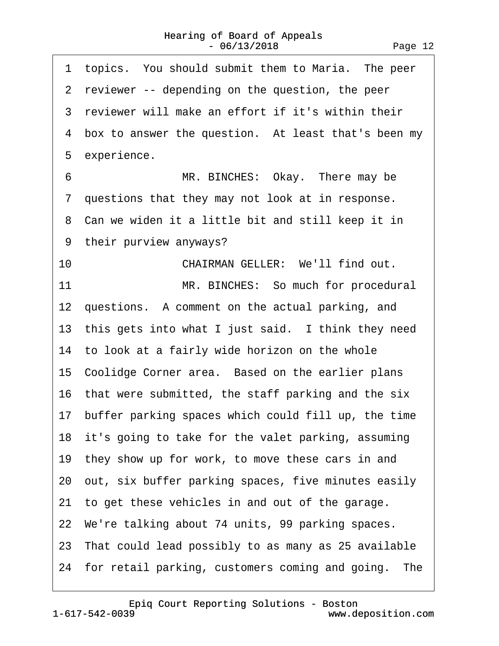<span id="page-11-0"></span>1 topics. You should submit them to Maria. The peer 2 reviewer -- depending on the question, the peer 3 reviewer will make an effort if it's within their 4 box to answer the question. At least that's been my 5 experience. 6 MR. BINCHES: Okay. There may be 7 questions that they may not look at in response. ·8· Can we widen it a little bit and still keep it in ·9· their purview anyways? 10 **CHAIRMAN GELLER:** We'll find out. 11 MR. BINCHES: So much for procedural 12 questions. A comment on the actual parking, and 13 this gets into what I just said. I think they need 14 to look at a fairly wide horizon on the whole 15 Coolidge Corner area. Based on the earlier plans 16 that were submitted, the staff parking and the six 17· buffer parking spaces which could fill up, the time 18 it's going to take for the valet parking, assuming 19 they show up for work, to move these cars in and 20· out, six buffer parking spaces, five minutes easily 21 to get these vehicles in and out of the garage. 22· We're talking about 74 units, 99 parking spaces. 23· That could lead possibly to as many as 25 available 24 for retail parking, customers coming and going. The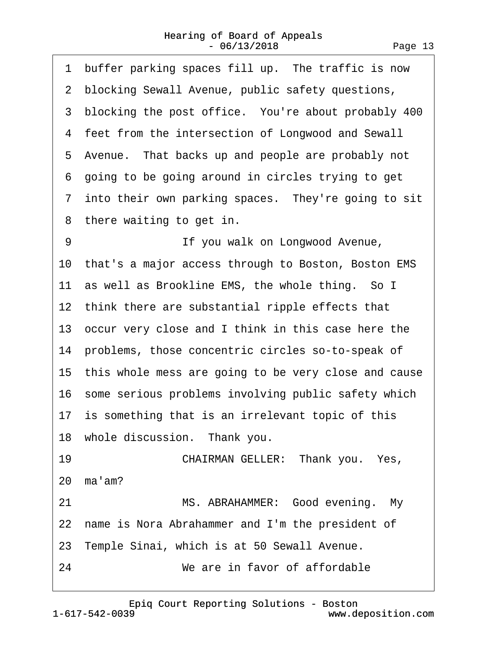<span id="page-12-0"></span>

| 1 buffer parking spaces fill up. The traffic is now     |
|---------------------------------------------------------|
| 2 blocking Sewall Avenue, public safety questions,      |
| 3 blocking the post office. You're about probably 400   |
| 4 feet from the intersection of Longwood and Sewall     |
| 5 Avenue. That backs up and people are probably not     |
| 6 going to be going around in circles trying to get     |
| 7 into their own parking spaces. They're going to sit   |
| 8 there waiting to get in.                              |
| If you walk on Longwood Avenue,<br>9                    |
| 10 that's a major access through to Boston, Boston EMS  |
| 11 as well as Brookline EMS, the whole thing. So I      |
| 12 think there are substantial ripple effects that      |
| 13 occur very close and I think in this case here the   |
| 14 problems, those concentric circles so-to-speak of    |
| 15 this whole mess are going to be very close and cause |
| 16 some serious problems involving public safety which  |
| 17 is something that is an irrelevant topic of this     |
| 18 whole discussion. Thank you.                         |
| 19<br>CHAIRMAN GELLER: Thank you. Yes,                  |
| 20 ma'am?                                               |
| MS. ABRAHAMMER: Good evening. My<br>21                  |
| 22 name is Nora Abrahammer and I'm the president of     |
| 23 Temple Sinai, which is at 50 Sewall Avenue.          |
| 24<br>We are in favor of affordable                     |
|                                                         |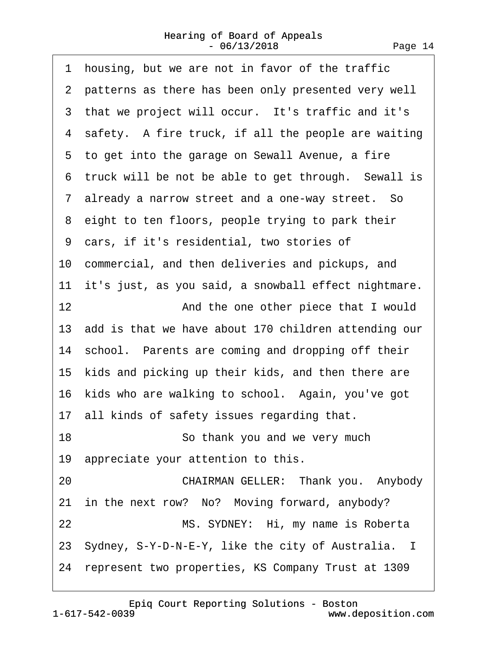<span id="page-13-0"></span>

|    | 1 housing, but we are not in favor of the traffic       |
|----|---------------------------------------------------------|
|    | 2 patterns as there has been only presented very well   |
|    | 3 that we project will occur. It's traffic and it's     |
|    | 4 safety. A fire truck, if all the people are waiting   |
|    | 5 to get into the garage on Sewall Avenue, a fire       |
|    | 6 truck will be not be able to get through. Sewall is   |
|    | 7 already a narrow street and a one-way street. So      |
|    | 8 eight to ten floors, people trying to park their      |
|    | 9 cars, if it's residential, two stories of             |
|    | 10 commercial, and then deliveries and pickups, and     |
|    | 11 it's just, as you said, a snowball effect nightmare. |
| 12 | And the one other piece that I would                    |
|    | 13 add is that we have about 170 children attending our |
|    | 14 school. Parents are coming and dropping off their    |
|    | 15 kids and picking up their kids, and then there are   |
|    | 16 kids who are walking to school. Again, you've got    |
|    | 17 all kinds of safety issues regarding that.           |
| 18 | So thank you and we very much                           |
|    | 19 appreciate your attention to this.                   |
| 20 | CHAIRMAN GELLER: Thank you. Anybody                     |
|    | 21 in the next row? No? Moving forward, anybody?        |
| 22 | MS. SYDNEY: Hi, my name is Roberta                      |
|    | 23 Sydney, S-Y-D-N-E-Y, like the city of Australia. I   |
|    | 24 represent two properties, KS Company Trust at 1309   |

[Epiq Court Reporting Solutions - Boston](http://www.deposition.com)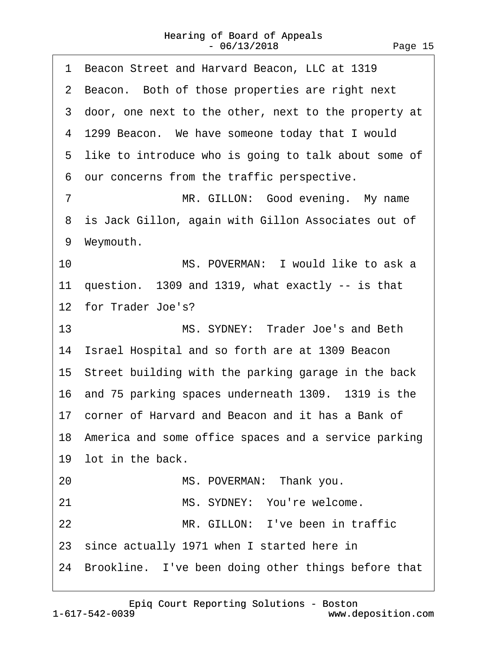<span id="page-14-0"></span>

|    | 1 Beacon Street and Harvard Beacon, LLC at 1319         |
|----|---------------------------------------------------------|
|    | 2 Beacon. Both of those properties are right next       |
|    | 3 door, one next to the other, next to the property at  |
|    | 4 1299 Beacon. We have someone today that I would       |
|    | 5 like to introduce who is going to talk about some of  |
|    | 6 our concerns from the traffic perspective.            |
| 7  | MR. GILLON: Good evening. My name                       |
|    | 8 is Jack Gillon, again with Gillon Associates out of   |
|    | 9 Weymouth.                                             |
| 10 | MS. POVERMAN: I would like to ask a                     |
|    | 11 question. 1309 and 1319, what exactly -- is that     |
|    | 12 for Trader Joe's?                                    |
| 13 | MS. SYDNEY: Trader Joe's and Beth                       |
|    | 14 Israel Hospital and so forth are at 1309 Beacon      |
|    | 15 Street building with the parking garage in the back  |
|    | 16 and 75 parking spaces underneath 1309. 1319 is the   |
|    | 17 corner of Harvard and Beacon and it has a Bank of    |
|    | 18 America and some office spaces and a service parking |
|    | 19 lot in the back.                                     |
| 20 | MS. POVERMAN: Thank you.                                |
| 21 | MS. SYDNEY: You're welcome.                             |
| 22 | MR. GILLON: I've been in traffic                        |
|    |                                                         |
|    | 23 since actually 1971 when I started here in           |

[Epiq Court Reporting Solutions - Boston](http://www.deposition.com)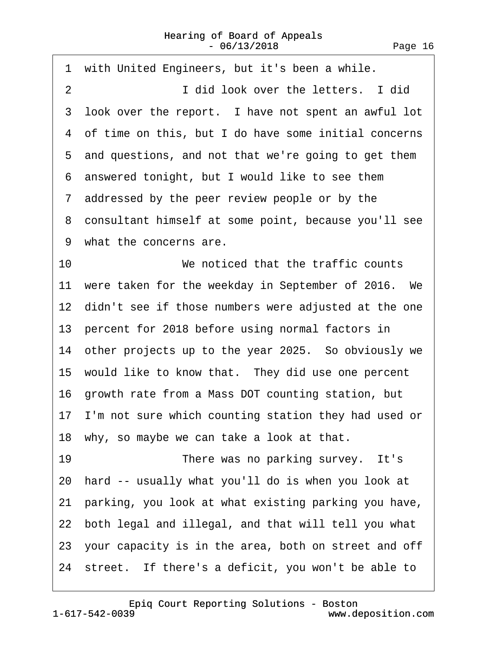<span id="page-15-0"></span>

|                | 1 with United Engineers, but it's been a while.         |
|----------------|---------------------------------------------------------|
| $\overline{2}$ | I did look over the letters. I did                      |
|                | 3 look over the report. I have not spent an awful lot   |
|                | 4 of time on this, but I do have some initial concerns  |
|                | 5 and questions, and not that we're going to get them   |
|                | 6 answered tonight, but I would like to see them        |
|                | 7 addressed by the peer review people or by the         |
|                | 8 consultant himself at some point, because you'll see  |
|                | 9 what the concerns are.                                |
| 10             | We noticed that the traffic counts                      |
|                | 11 were taken for the weekday in September of 2016. We  |
|                | 12 didn't see if those numbers were adjusted at the one |
|                | 13 percent for 2018 before using normal factors in      |
|                | 14 other projects up to the year 2025. So obviously we  |
|                | 15 would like to know that. They did use one percent    |
|                | 16 growth rate from a Mass DOT counting station, but    |
|                | 17 I'm not sure which counting station they had used or |
|                | 18 why, so maybe we can take a look at that.            |
| 19             | There was no parking survey. It's                       |
|                | 20 hard -- usually what you'll do is when you look at   |
|                | 21 parking, you look at what existing parking you have, |
|                | 22 both legal and illegal, and that will tell you what  |
|                | 23 your capacity is in the area, both on street and off |
|                | 24 street. If there's a deficit, you won't be able to   |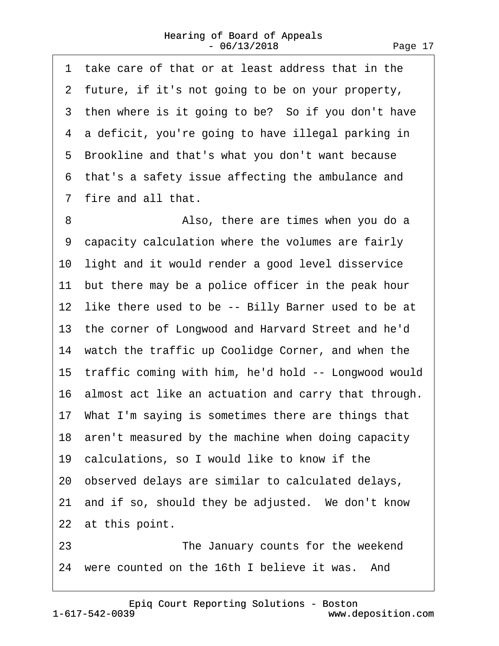<span id="page-16-0"></span>·1· take care of that or at least address that in the 2 future, if it's not going to be on your property, 3 then where is it going to be? So if you don't have 4 a deficit, you're going to have illegal parking in 5 Brookline and that's what you don't want because ·6· that's a safety issue affecting the ambulance and ·7· fire and all that.

8 **Also, there are times when you do a** ·9· capacity calculation where the volumes are fairly 10 light and it would render a good level disservice 11 but there may be a police officer in the peak hour 12 like there used to be -- Billy Barner used to be at 13· the corner of Longwood and Harvard Street and he'd 14 watch the traffic up Coolidge Corner, and when the 15· traffic coming with him, he'd hold -- Longwood would 16· almost act like an actuation and carry that through. 17· What I'm saying is sometimes there are things that 18 aren't measured by the machine when doing capacity 19· calculations, so I would like to know if the 20· observed delays are similar to calculated delays, 21 and if so, should they be adjusted. We don't know 22 at this point. 23 **• 23** The January counts for the weekend 24 were counted on the 16th I believe it was. And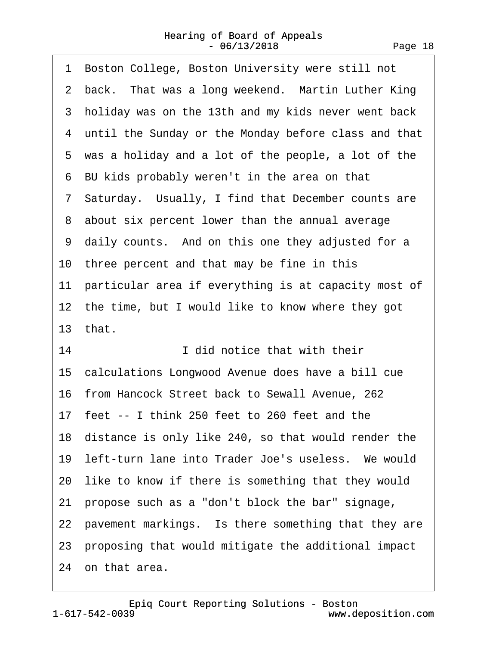<span id="page-17-0"></span>

| 1 Boston College, Boston University were still not      |
|---------------------------------------------------------|
| 2 back. That was a long weekend. Martin Luther King     |
| 3 holiday was on the 13th and my kids never went back   |
| 4 until the Sunday or the Monday before class and that  |
| 5 was a holiday and a lot of the people, a lot of the   |
| 6 BU kids probably weren't in the area on that          |
| 7 Saturday. Usually, I find that December counts are    |
| 8 about six percent lower than the annual average       |
| 9 daily counts. And on this one they adjusted for a     |
| 10 three percent and that may be fine in this           |
| 11 particular area if everything is at capacity most of |
| 12 the time, but I would like to know where they got    |
| 13 that.                                                |
| 14<br>I did notice that with their                      |
|                                                         |
| 15 calculations Longwood Avenue does have a bill cue    |
| 16 from Hancock Street back to Sewall Avenue, 262       |
| 17 feet -- I think 250 feet to 260 feet and the         |
| 18 distance is only like 240, so that would render the  |
| 19 left-turn lane into Trader Joe's useless. We would   |
| 20 like to know if there is something that they would   |
| 21 propose such as a "don't block the bar" signage,     |
| 22 pavement markings. Is there something that they are  |
| 23 proposing that would mitigate the additional impact  |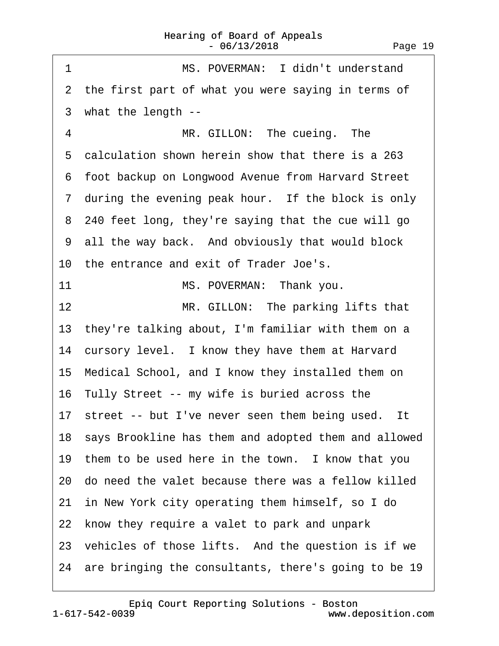<span id="page-18-0"></span>

| MS. POVERMAN: I didn't understand<br>1                  |
|---------------------------------------------------------|
| 2 the first part of what you were saying in terms of    |
| 3 what the length --                                    |
| 4<br>MR. GILLON: The cueing. The                        |
| 5 calculation shown herein show that there is a 263     |
| 6 foot backup on Longwood Avenue from Harvard Street    |
| 7 during the evening peak hour. If the block is only    |
| 8 240 feet long, they're saying that the cue will go    |
| 9 all the way back. And obviously that would block      |
| 10 the entrance and exit of Trader Joe's.               |
| 11<br>MS. POVERMAN: Thank you.                          |
| MR. GILLON: The parking lifts that<br>12                |
| 13 they're talking about, I'm familiar with them on a   |
| 14 cursory level. I know they have them at Harvard      |
| 15 Medical School, and I know they installed them on    |
| 16 Tully Street -- my wife is buried across the         |
| 17 street -- but I've never seen them being used. It    |
| 18 says Brookline has them and adopted them and allowed |
| 19 them to be used here in the town. I know that you    |
| 20 do need the valet because there was a fellow killed  |
| 21 in New York city operating them himself, so I do     |
| 22 know they require a valet to park and unpark         |
| 23 vehicles of those lifts. And the question is if we   |
| 24 are bringing the consultants, there's going to be 19 |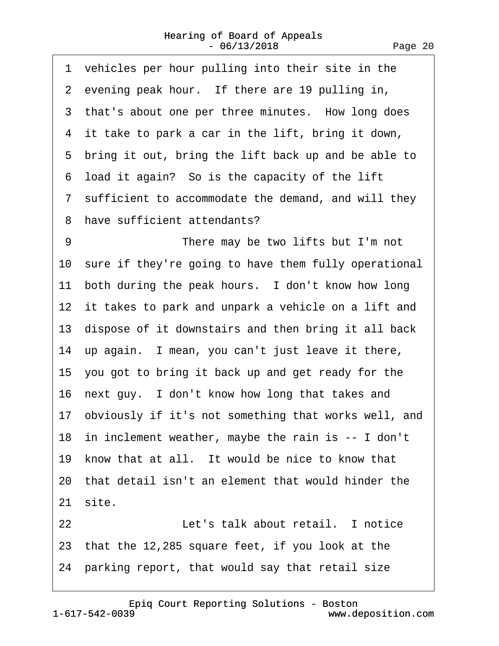<span id="page-19-0"></span>

| 1 vehicles per hour pulling into their site in the      |
|---------------------------------------------------------|
| 2 evening peak hour. If there are 19 pulling in,        |
| 3 that's about one per three minutes. How long does     |
| 4 it take to park a car in the lift, bring it down,     |
| 5 bring it out, bring the lift back up and be able to   |
| 6 load it again? So is the capacity of the lift         |
| 7 sufficient to accommodate the demand, and will they   |
| 8<br>have sufficient attendants?                        |
| 9<br>There may be two lifts but I'm not                 |
| 10 sure if they're going to have them fully operational |
| 11 both during the peak hours. I don't know how long    |
| 12 it takes to park and unpark a vehicle on a lift and  |
| 13 dispose of it downstairs and then bring it all back  |
| 14 up again. I mean, you can't just leave it there,     |
| 15 you got to bring it back up and get ready for the    |
| 16 next guy. I don't know how long that takes and       |
| 17 obviously if it's not something that works well, and |
| 18 in inclement weather, maybe the rain is -- I don't   |
| 19 know that at all. It would be nice to know that      |
| 20 that detail isn't an element that would hinder the   |
| 21 site.                                                |
| 22<br>Let's talk about retail. I notice                 |
| 23 that the 12,285 square feet, if you look at the      |

24 parking report, that would say that retail size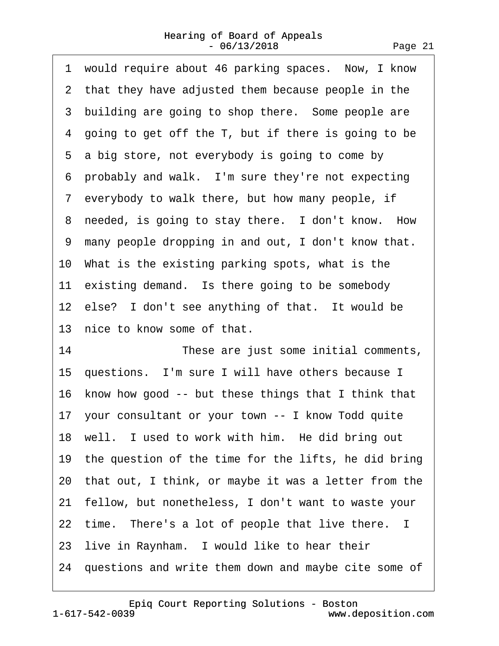<span id="page-20-0"></span>1 would require about 46 parking spaces. Now, I know 2 that they have adjusted them because people in the 3 building are going to shop there. Some people are 4 going to get off the T, but if there is going to be 5 a big store, not everybody is going to come by 6 probably and walk. I'm sure they're not expecting ·7· everybody to walk there, but how many people, if 8 needed, is going to stay there. I don't know. How ·9· many people dropping in and out, I don't know that. 10· What is the existing parking spots, what is the 11 existing demand. Is there going to be somebody 12 else? I don't see anything of that. It would be 13 nice to know some of that. 14 **These are just some initial comments,** 

15 questions. I'm sure I will have others because I 16 know how good -- but these things that I think that 17· your consultant or your town -- I know Todd quite 18 well. I used to work with him. He did bring out 19 the question of the time for the lifts, he did bring 20· that out, I think, or maybe it was a letter from the 21· fellow, but nonetheless, I don't want to waste your 22 time. There's a lot of people that live there. I 23 live in Raynham. I would like to hear their 24 questions and write them down and maybe cite some of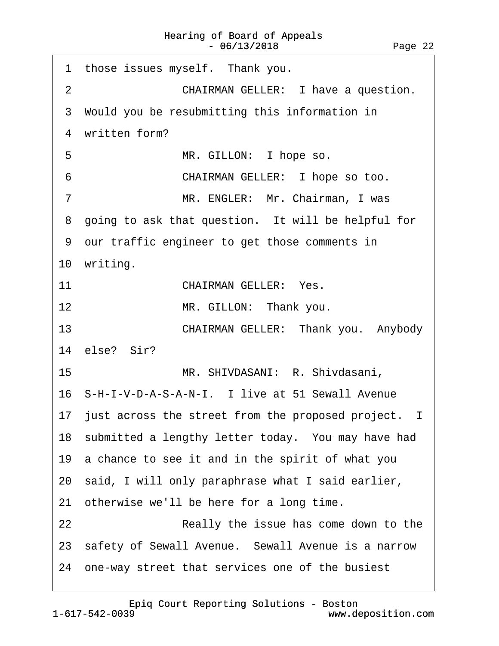<span id="page-21-0"></span>

| 1 those issues myself. Thank you.                            |
|--------------------------------------------------------------|
| <b>CHAIRMAN GELLER: I have a question.</b><br>$\overline{2}$ |
| 3 Would you be resubmitting this information in              |
| 4 written form?                                              |
| 5<br>MR. GILLON: I hope so.                                  |
| CHAIRMAN GELLER: I hope so too.<br>6                         |
| $\overline{7}$<br>MR. ENGLER: Mr. Chairman, I was            |
| 8 going to ask that question. It will be helpful for         |
| 9 our traffic engineer to get those comments in              |
| 10 writing.                                                  |
| 11<br><b>CHAIRMAN GELLER: Yes.</b>                           |
| MR. GILLON: Thank you.<br>12                                 |
| CHAIRMAN GELLER: Thank you. Anybody<br>13                    |
| 14 else? Sir?                                                |
| 15 <sup>15</sup><br>MR. SHIVDASANI: R. Shivdasani,           |
| 16 S-H-I-V-D-A-S-A-N-I. I live at 51 Sewall Avenue           |
| 17 just across the street from the proposed project. I       |
| 18 submitted a lengthy letter today. You may have had        |
| 19 a chance to see it and in the spirit of what you          |
| 20 said, I will only paraphrase what I said earlier,         |
| 21 otherwise we'll be here for a long time.                  |
| 22<br>Really the issue has come down to the                  |
| 23 safety of Sewall Avenue. Sewall Avenue is a narrow        |
| 24 one-way street that services one of the busiest           |
|                                                              |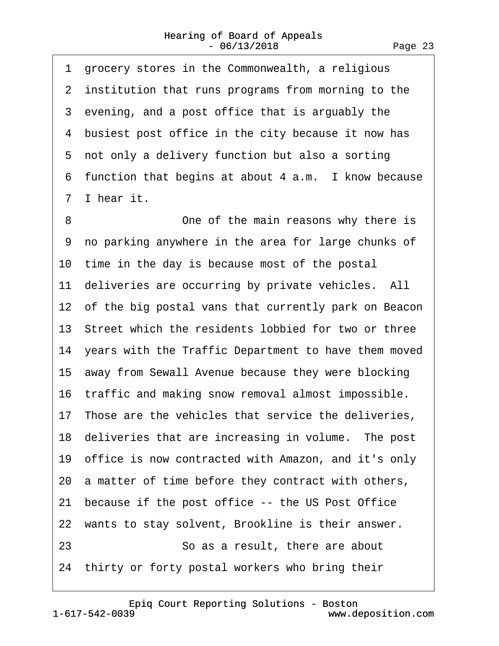<span id="page-22-0"></span>

|    | 1 grocery stores in the Commonwealth, a religious       |
|----|---------------------------------------------------------|
|    | 2 institution that runs programs from morning to the    |
|    | 3 evening, and a post office that is arguably the       |
|    | 4 busiest post office in the city because it now has    |
| 5  | not only a delivery function but also a sorting         |
|    | 6 function that begins at about 4 a.m. I know because   |
|    | 7 I hear it.                                            |
| 8  | One of the main reasons why there is                    |
| 9  | no parking anywhere in the area for large chunks of     |
|    | 10 time in the day is because most of the postal        |
|    | 11 deliveries are occurring by private vehicles. All    |
|    | 12 of the big postal vans that currently park on Beacon |
|    | 13 Street which the residents lobbied for two or three  |
|    | 14 years with the Traffic Department to have them moved |
|    | 15 away from Sewall Avenue because they were blocking   |
|    | 16 traffic and making snow removal almost impossible.   |
|    | 17 Those are the vehicles that service the deliveries,  |
|    | 18 deliveries that are increasing in volume. The post   |
|    | 19 office is now contracted with Amazon, and it's only  |
|    | 20 a matter of time before they contract with others,   |
|    | 21 because if the post office -- the US Post Office     |
|    | 22 wants to stay solvent, Brookline is their answer.    |
| 23 | So as a result, there are about                         |
|    | 24 thirty or forty postal workers who bring their       |
|    |                                                         |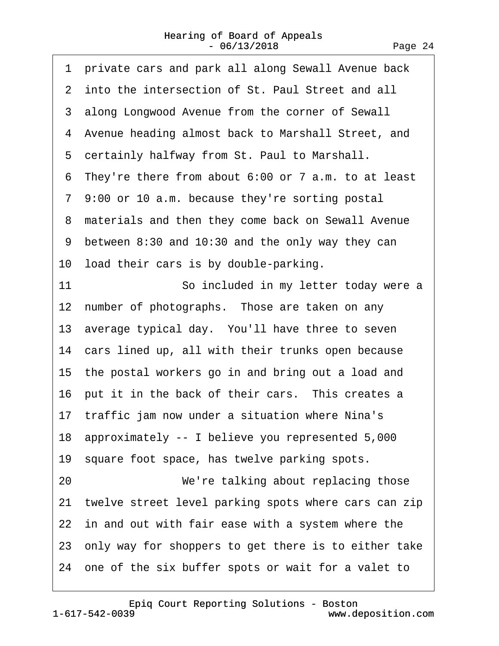<span id="page-23-0"></span>

| private cars and park all along Sewall Avenue back<br>1 |  |
|---------------------------------------------------------|--|
| 2 into the intersection of St. Paul Street and all      |  |
| 3 along Longwood Avenue from the corner of Sewall       |  |
| 4 Avenue heading almost back to Marshall Street, and    |  |
| 5 certainly halfway from St. Paul to Marshall.          |  |
| 6 They're there from about 6:00 or 7 a.m. to at least   |  |
| 7 9:00 or 10 a.m. because they're sorting postal        |  |
| 8 materials and then they come back on Sewall Avenue    |  |
| 9 between 8:30 and 10:30 and the only way they can      |  |
| 10 load their cars is by double-parking.                |  |
| 11<br>So included in my letter today were a             |  |
| 12 number of photographs. Those are taken on any        |  |
| 13 average typical day. You'll have three to seven      |  |
| 14 cars lined up, all with their trunks open because    |  |
| 15 the postal workers go in and bring out a load and    |  |
| 16 put it in the back of their cars. This creates a     |  |
| 17 traffic jam now under a situation where Nina's       |  |
| 18 approximately -- I believe you represented 5,000     |  |
| 19 square foot space, has twelve parking spots.         |  |
| We're talking about replacing those<br>20               |  |
| 21 twelve street level parking spots where cars can zip |  |
| 22 in and out with fair ease with a system where the    |  |
| 23 only way for shoppers to get there is to either take |  |
| 24 one of the six buffer spots or wait for a valet to   |  |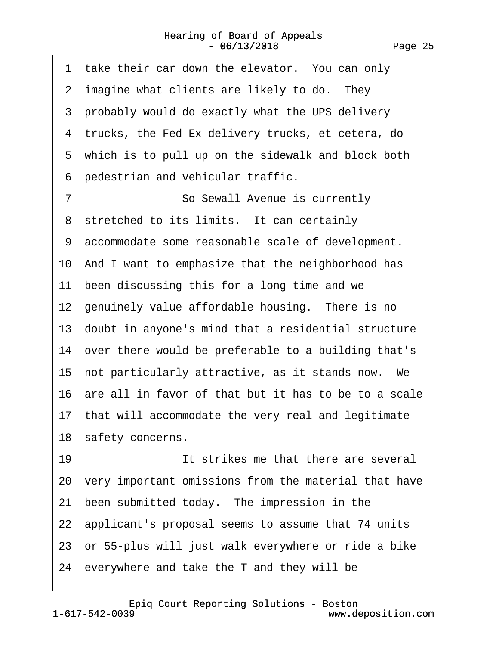<span id="page-24-0"></span>

| 1 take their car down the elevator. You can only        |
|---------------------------------------------------------|
| 2 imagine what clients are likely to do. They           |
| 3 probably would do exactly what the UPS delivery       |
| 4 trucks, the Fed Ex delivery trucks, et cetera, do     |
| 5 which is to pull up on the sidewalk and block both    |
| pedestrian and vehicular traffic.<br>6                  |
| $\overline{7}$<br>So Sewall Avenue is currently         |
| 8 stretched to its limits. It can certainly             |
| 9 accommodate some reasonable scale of development.     |
| 10 And I want to emphasize that the neighborhood has    |
| 11 been discussing this for a long time and we          |
| 12 genuinely value affordable housing. There is no      |
| 13 doubt in anyone's mind that a residential structure  |
| 14 over there would be preferable to a building that's  |
| 15 not particularly attractive, as it stands now. We    |
| 16 are all in favor of that but it has to be to a scale |
| 17 that will accommodate the very real and legitimate   |
| 18 safety concerns.                                     |
| 19<br>It strikes me that there are several              |
| 20 very important omissions from the material that have |
| 21 been submitted today. The impression in the          |
| 22 applicant's proposal seems to assume that 74 units   |
| 23 or 55-plus will just walk everywhere or ride a bike  |
| 24 everywhere and take the T and they will be           |
|                                                         |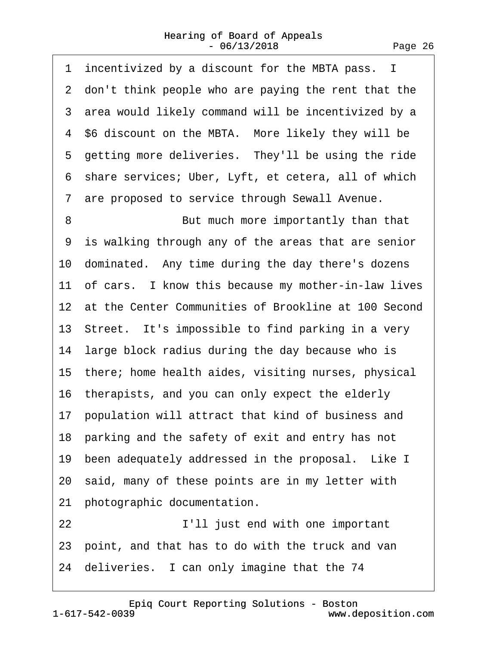<span id="page-25-0"></span>1 incentivized by a discount for the MBTA pass. I 2 don't think people who are paying the rent that the 3 area would likely command will be incentivized by a 4 \$6 discount on the MBTA. More likely they will be 5 getting more deliveries. They'll be using the ride ·6· share services; Uber, Lyft, et cetera, all of which ·7· are proposed to service through Sewall Avenue. 8 **But much more importantly than that** ·9· is walking through any of the areas that are senior 10 dominated. Any time during the day there's dozens 11 of cars. I know this because my mother-in-law lives 12 at the Center Communities of Brookline at 100 Second 13 Street. It's impossible to find parking in a very 14 large block radius during the day because who is 15· there; home health aides, visiting nurses, physical 16 therapists, and you can only expect the elderly 17 population will attract that kind of business and 18 parking and the safety of exit and entry has not 19 been adequately addressed in the proposal. Like I 20· said, many of these points are in my letter with 21 photographic documentation. 22 **I'll just end with one important** 23· point, and that has to do with the truck and van 24 deliveries. I can only imagine that the 74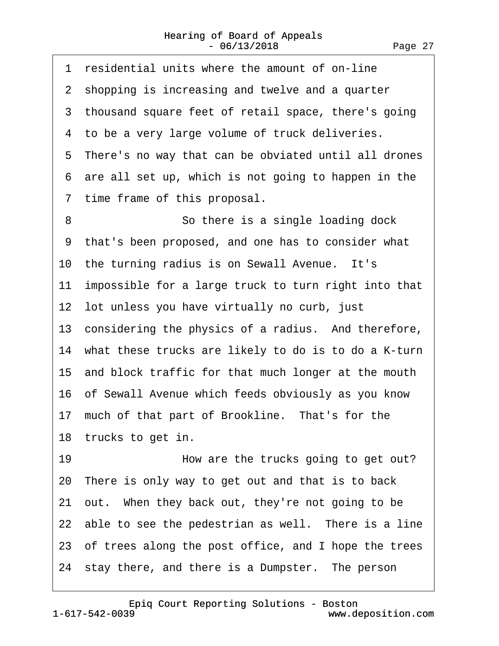<span id="page-26-0"></span>

| 1 residential units where the amount of on-line         |
|---------------------------------------------------------|
| 2 shopping is increasing and twelve and a quarter       |
| 3 thousand square feet of retail space, there's going   |
| 4 to be a very large volume of truck deliveries.        |
| 5 There's no way that can be obviated until all drones  |
| 6 are all set up, which is not going to happen in the   |
| 7 time frame of this proposal.                          |
| 8<br>So there is a single loading dock                  |
| 9 that's been proposed, and one has to consider what    |
| 10 the turning radius is on Sewall Avenue. It's         |
| 11 impossible for a large truck to turn right into that |
| 12 lot unless you have virtually no curb, just          |
| 13 considering the physics of a radius. And therefore,  |
| 14 what these trucks are likely to do is to do a K-turn |
| 15 and block traffic for that much longer at the mouth  |
| 16 of Sewall Avenue which feeds obviously as you know   |
| 17 much of that part of Brookline. That's for the       |
| 18 trucks to get in.                                    |
| 19<br>How are the trucks going to get out?              |
| 20 There is only way to get out and that is to back     |
| 21 out. When they back out, they're not going to be     |
| 22 able to see the pedestrian as well. There is a line  |
| 23 of trees along the post office, and I hope the trees |
| 24 stay there, and there is a Dumpster. The person      |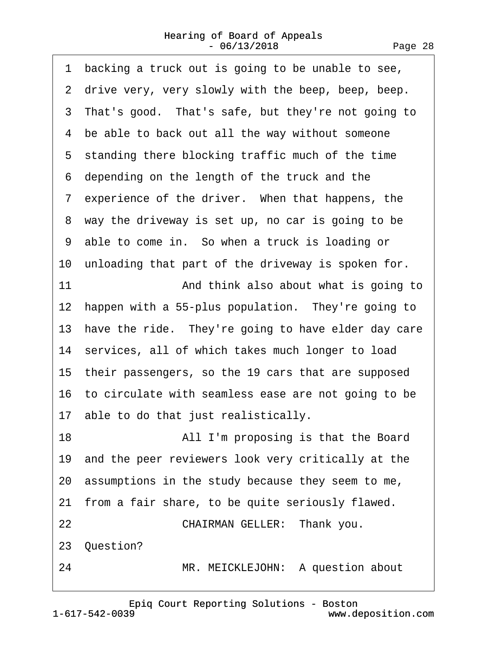<span id="page-27-0"></span>1 backing a truck out is going to be unable to see, 2 drive very, very slowly with the beep, beep, beep. 3 That's good. That's safe, but they're not going to 4 be able to back out all the way without someone 5 standing there blocking traffic much of the time ·6· depending on the length of the truck and the 7 experience of the driver. When that happens, the 8 way the driveway is set up, no car is going to be 9 able to come in. So when a truck is loading or 10 unloading that part of the driveway is spoken for. 11 **And think also about what is going to** 12 happen with a 55-plus population. They're going to 13 have the ride. They're going to have elder day care 14 services, all of which takes much longer to load 15· their passengers, so the 19 cars that are supposed 16· to circulate with seamless ease are not going to be 17 able to do that just realistically. 18 **All I'm proposing is that the Board** 19· and the peer reviewers look very critically at the 20· assumptions in the study because they seem to me, 21 from a fair share, to be quite seriously flawed. 22 **CHAIRMAN GELLER: Thank you.** 23· Question? 24 MR. MEICKLEJOHN: A question about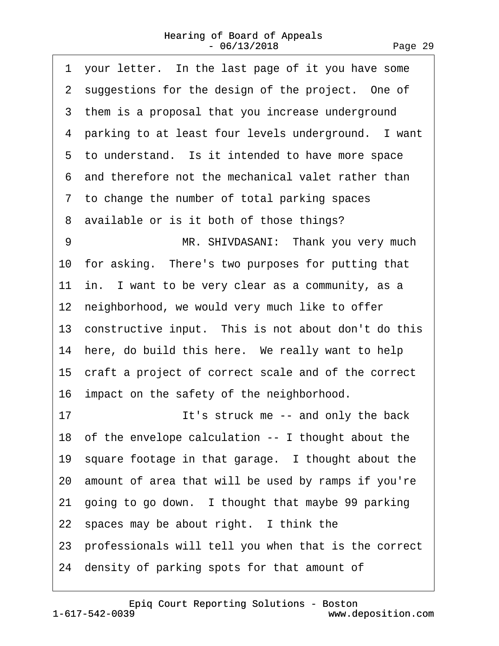<span id="page-28-0"></span>1 your letter. In the last page of it you have some 2 suggestions for the design of the project. One of 3 them is a proposal that you increase underground 4 parking to at least four levels underground. I want 5 to understand. Is it intended to have more space ·6· and therefore not the mechanical valet rather than ·7· to change the number of total parking spaces ·8· available or is it both of those things? 9 MR. SHIVDASANI: Thank you very much 10 for asking. There's two purposes for putting that 11 in. I want to be very clear as a community, as a 12 neighborhood, we would very much like to offer 13 constructive input. This is not about don't do this 14 here, do build this here. We really want to help 15 craft a project of correct scale and of the correct 16 impact on the safety of the neighborhood. 17 **It's struck me -- and only the back** 18· of the envelope calculation -- I thought about the 19 square footage in that garage. I thought about the 20· amount of area that will be used by ramps if you're 21 going to go down. I thought that maybe 99 parking 22 spaces may be about right. I think the 23· professionals will tell you when that is the correct 24· density of parking spots for that amount of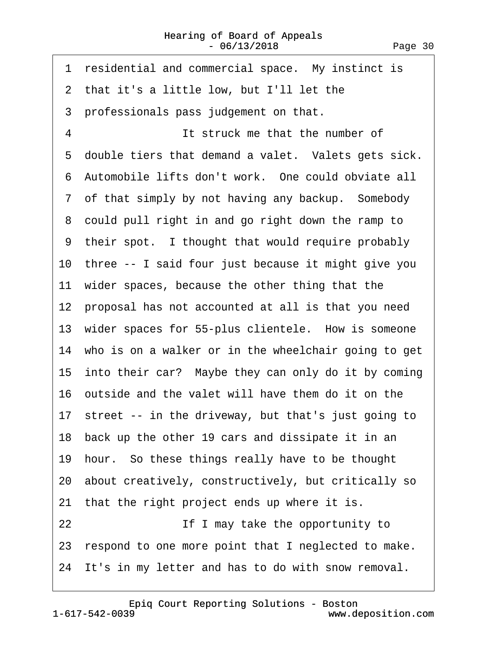<span id="page-29-0"></span>

| residential and commercial space. My instinct is<br>1   |
|---------------------------------------------------------|
| 2 that it's a little low, but I'll let the              |
| 3 professionals pass judgement on that.                 |
| 4<br>It struck me that the number of                    |
| 5 double tiers that demand a valet. Valets gets sick.   |
| 6 Automobile lifts don't work. One could obviate all    |
| 7 of that simply by not having any backup. Somebody     |
| 8 could pull right in and go right down the ramp to     |
| 9 their spot. I thought that would require probably     |
| 10 three -- I said four just because it might give you  |
| 11 wider spaces, because the other thing that the       |
| 12 proposal has not accounted at all is that you need   |
| 13 wider spaces for 55-plus clientele. How is someone   |
| 14 who is on a walker or in the wheelchair going to get |
| 15 into their car? Maybe they can only do it by coming  |
| 16 outside and the valet will have them do it on the    |
| 17 street -- in the driveway, but that's just going to  |
| 18 back up the other 19 cars and dissipate it in an     |
| 19 hour. So these things really have to be thought      |
| 20 about creatively, constructively, but critically so  |
| 21 that the right project ends up where it is.          |
| 22<br>If I may take the opportunity to                  |
| 23 respond to one more point that I neglected to make.  |
| 24 It's in my letter and has to do with snow removal.   |
|                                                         |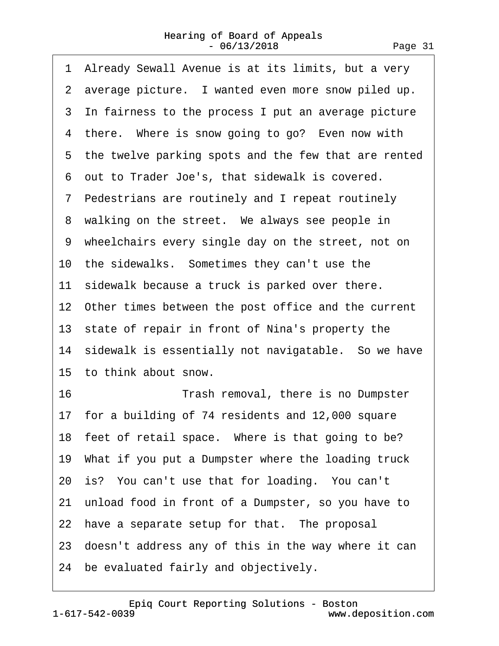<span id="page-30-0"></span>

| 1 Already Sewall Avenue is at its limits, but a very   |
|--------------------------------------------------------|
| 2 average picture. I wanted even more snow piled up.   |
| 3 In fairness to the process I put an average picture  |
| 4 there. Where is snow going to go? Even now with      |
| 5 the twelve parking spots and the few that are rented |
| 6 out to Trader Joe's, that sidewalk is covered.       |
| 7 Pedestrians are routinely and I repeat routinely     |
| 8 walking on the street. We always see people in       |
| 9 wheelchairs every single day on the street, not on   |
| 10 the sidewalks. Sometimes they can't use the         |
| 11 sidewalk because a truck is parked over there.      |
| 12 Other times between the post office and the current |
| 13 state of repair in front of Nina's property the     |
| 14 sidewalk is essentially not navigatable. So we have |
| 15 to think about snow.                                |
| 16<br>Trash removal, there is no Dumpster              |
| 17 for a building of 74 residents and 12,000 square    |
| 18 feet of retail space. Where is that going to be?    |
| 19 What if you put a Dumpster where the loading truck  |
| 20 is? You can't use that for loading. You can't       |
| 21 unload food in front of a Dumpster, so you have to  |
| 22 have a separate setup for that. The proposal        |
| 23 doesn't address any of this in the way where it can |
| 24 be evaluated fairly and objectively.                |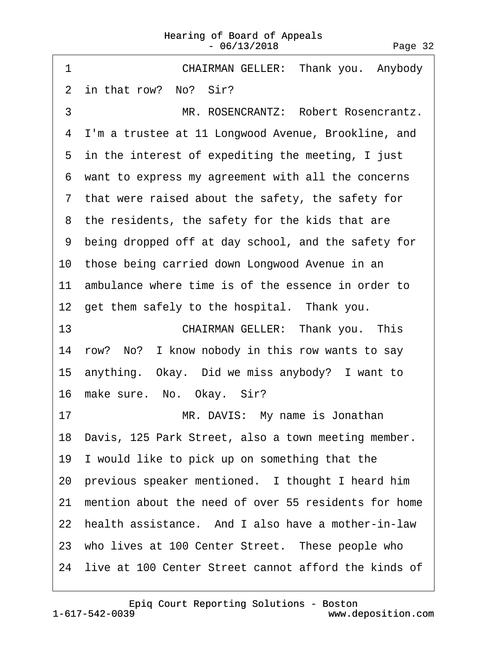#### Hearing of Board of Appeals - 06/13/2018 Page 32

<span id="page-31-0"></span>

| 1<br>CHAIRMAN GELLER: Thank you. Anybody                |
|---------------------------------------------------------|
| 2 in that row? No? Sir?                                 |
| MR. ROSENCRANTZ: Robert Rosencrantz.<br>3               |
| 4 I'm a trustee at 11 Longwood Avenue, Brookline, and   |
| 5 in the interest of expediting the meeting, I just     |
| 6 want to express my agreement with all the concerns    |
| 7 that were raised about the safety, the safety for     |
| 8 the residents, the safety for the kids that are       |
| 9 being dropped off at day school, and the safety for   |
| 10 those being carried down Longwood Avenue in an       |
| 11 ambulance where time is of the essence in order to   |
| 12 get them safely to the hospital. Thank you.          |
| 13<br>CHAIRMAN GELLER: Thank you. This                  |
| 14 row? No? I know nobody in this row wants to say      |
| 15 anything. Okay. Did we miss anybody? I want to       |
| 16 make sure. No. Okay. Sir?                            |
| MR. DAVIS: My name is Jonathan<br>17                    |
| 18 Davis, 125 Park Street, also a town meeting member.  |
| 19 I would like to pick up on something that the        |
| 20 previous speaker mentioned. I thought I heard him    |
| 21 mention about the need of over 55 residents for home |
| 22 health assistance. And I also have a mother-in-law   |
| 23 who lives at 100 Center Street. These people who     |
| 24 live at 100 Center Street cannot afford the kinds of |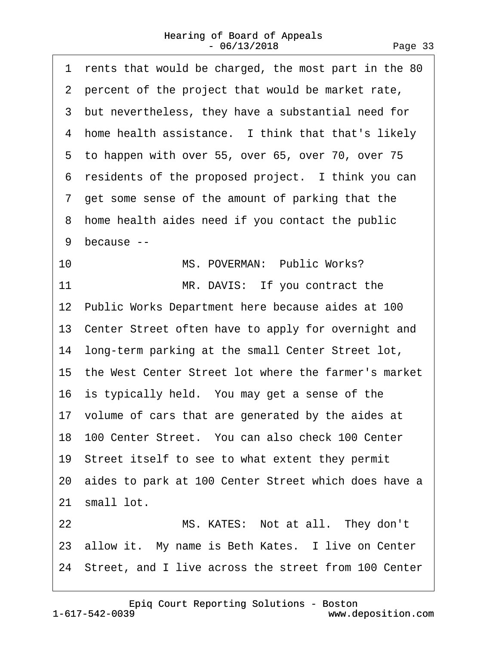<span id="page-32-0"></span>

| 1 rents that would be charged, the most part in the 80  |
|---------------------------------------------------------|
| 2 percent of the project that would be market rate,     |
| 3 but nevertheless, they have a substantial need for    |
| 4 home health assistance. I think that that's likely    |
| 5 to happen with over 55, over 65, over 70, over 75     |
| residents of the proposed project. I think you can<br>6 |
| 7 get some sense of the amount of parking that the      |
| home health aides need if you contact the public<br>8   |
| 9<br>because --                                         |
| MS. POVERMAN: Public Works?<br>10                       |
| MR. DAVIS: If you contract the<br>11                    |
| 12 Public Works Department here because aides at 100    |
| 13 Center Street often have to apply for overnight and  |
| 14 long-term parking at the small Center Street lot,    |
| 15 the West Center Street lot where the farmer's market |
| 16 is typically held. You may get a sense of the        |
| 17 volume of cars that are generated by the aides at    |
| 18 100 Center Street. You can also check 100 Center     |
| 19 Street itself to see to what extent they permit      |
| 20 aides to park at 100 Center Street which does have a |
| 21 small lot.                                           |
| MS. KATES: Not at all. They don't<br>22                 |
| 23 allow it. My name is Beth Kates. I live on Center    |
| 24 Street, and I live across the street from 100 Center |
|                                                         |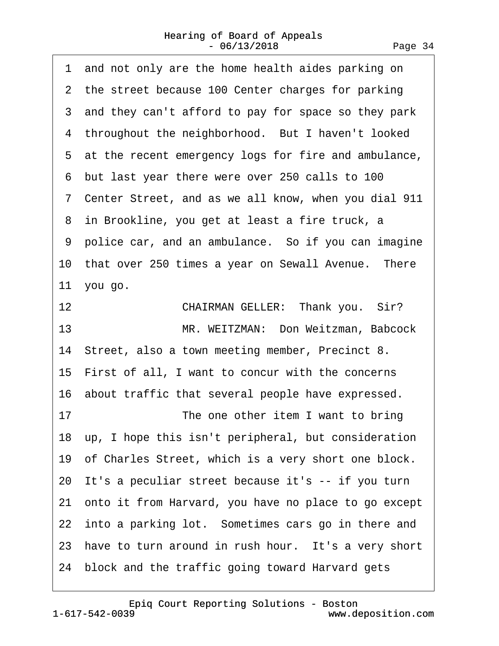<span id="page-33-0"></span>

| and not only are the home health aides parking on<br>1  |
|---------------------------------------------------------|
| 2 the street because 100 Center charges for parking     |
| 3 and they can't afford to pay for space so they park   |
| 4 throughout the neighborhood. But I haven't looked     |
| 5 at the recent emergency logs for fire and ambulance,  |
| 6 but last year there were over 250 calls to 100        |
| 7 Center Street, and as we all know, when you dial 911  |
| 8 in Brookline, you get at least a fire truck, a        |
| 9 police car, and an ambulance. So if you can imagine   |
| 10 that over 250 times a year on Sewall Avenue. There   |
| 11 you go.                                              |
| 12<br>CHAIRMAN GELLER: Thank you. Sir?                  |
| MR. WEITZMAN: Don Weitzman, Babcock<br>13               |
| 14 Street, also a town meeting member, Precinct 8.      |
| 15 First of all, I want to concur with the concerns     |
| 16 about traffic that several people have expressed.    |
| 17<br>The one other item I want to bring                |
| 18 up, I hope this isn't peripheral, but consideration  |
| 19 of Charles Street, which is a very short one block.  |
| 20 It's a peculiar street because it's -- if you turn   |
| 21 onto it from Harvard, you have no place to go except |
| 22 into a parking lot. Sometimes cars go in there and   |
| 23 have to turn around in rush hour. It's a very short  |
| 24 block and the traffic going toward Harvard gets      |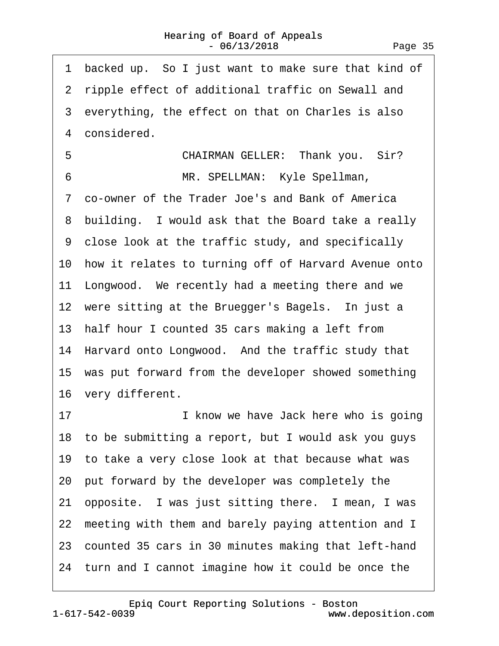<span id="page-34-0"></span>

| backed up. So I just want to make sure that kind of<br>1 |
|----------------------------------------------------------|
| 2 ripple effect of additional traffic on Sewall and      |
| 3 everything, the effect on that on Charles is also      |
| 4 considered.                                            |
| 5<br>CHAIRMAN GELLER: Thank you. Sir?                    |
| 6<br>MR. SPELLMAN: Kyle Spellman,                        |
| 7 co-owner of the Trader Joe's and Bank of America       |
| 8 building. I would ask that the Board take a really     |
| 9 close look at the traffic study, and specifically      |
| 10 how it relates to turning off of Harvard Avenue onto  |
| 11 Longwood. We recently had a meeting there and we      |
| 12 were sitting at the Bruegger's Bagels. In just a      |
| 13 half hour I counted 35 cars making a left from        |
| 14 Harvard onto Longwood. And the traffic study that     |
| 15 was put forward from the developer showed something   |
| 16 very different.                                       |
| 17<br>I know we have Jack here who is going              |
| 18 to be submitting a report, but I would ask you guys   |
| 19 to take a very close look at that because what was    |
| 20 put forward by the developer was completely the       |
| 21 opposite. I was just sitting there. I mean, I was     |
| 22 meeting with them and barely paying attention and I   |
| 23 counted 35 cars in 30 minutes making that left-hand   |
| 24 turn and I cannot imagine how it could be once the    |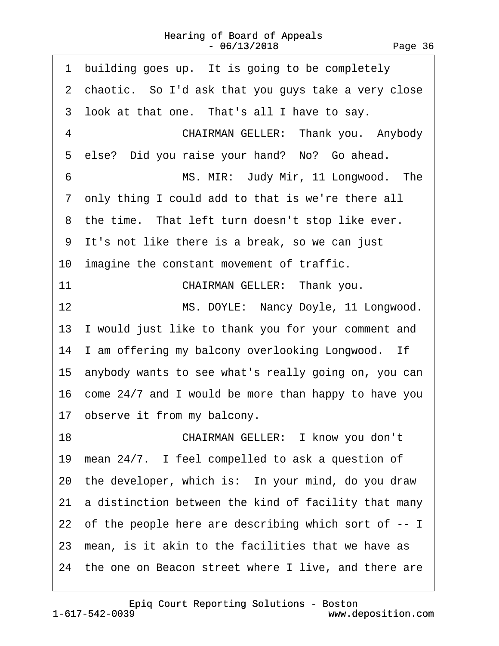<span id="page-35-0"></span>

| building goes up. It is going to be completely<br>1     |
|---------------------------------------------------------|
| 2 chaotic. So I'd ask that you guys take a very close   |
| 3 look at that one. That's all I have to say.           |
| 4<br>CHAIRMAN GELLER: Thank you. Anybody                |
| 5 else? Did you raise your hand? No? Go ahead.          |
| MS. MIR: Judy Mir, 11 Longwood. The<br>6                |
| 7 only thing I could add to that is we're there all     |
| 8 the time. That left turn doesn't stop like ever.      |
| 9 It's not like there is a break, so we can just        |
| 10 imagine the constant movement of traffic.            |
| 11<br>CHAIRMAN GELLER: Thank you.                       |
| MS. DOYLE: Nancy Doyle, 11 Longwood.<br>12              |
| 13 I would just like to thank you for your comment and  |
| 14 I am offering my balcony overlooking Longwood. If    |
| 15 anybody wants to see what's really going on, you can |
| 16 come 24/7 and I would be more than happy to have you |
| 17 observe it from my balcony.                          |
| 18<br>CHAIRMAN GELLER: I know you don't                 |
| 19 mean 24/7. I feel compelled to ask a question of     |
| 20 the developer, which is: In your mind, do you draw   |
| 21 a distinction between the kind of facility that many |
| 22 of the people here are describing which sort of -- I |
| 23 mean, is it akin to the facilities that we have as   |
| 24 the one on Beacon street where I live, and there are |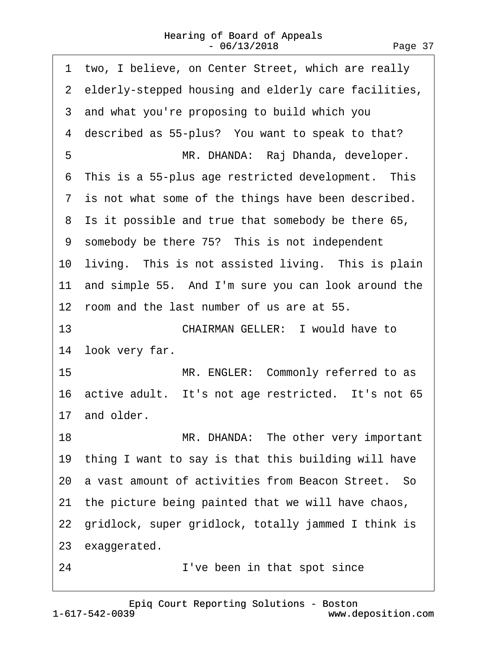<span id="page-36-0"></span>

|    | 1 two, I believe, on Center Street, which are really   |  |  |  |
|----|--------------------------------------------------------|--|--|--|
|    | 2 elderly-stepped housing and elderly care facilities, |  |  |  |
|    | 3 and what you're proposing to build which you         |  |  |  |
|    | 4 described as 55-plus? You want to speak to that?     |  |  |  |
| 5  | MR. DHANDA: Raj Dhanda, developer.                     |  |  |  |
|    | 6 This is a 55-plus age restricted development. This   |  |  |  |
|    | 7 is not what some of the things have been described.  |  |  |  |
|    | 8 Is it possible and true that somebody be there 65,   |  |  |  |
|    | 9 somebody be there 75? This is not independent        |  |  |  |
|    | 10 living. This is not assisted living. This is plain  |  |  |  |
|    | 11 and simple 55. And I'm sure you can look around the |  |  |  |
|    | 12 room and the last number of us are at 55.           |  |  |  |
| 13 | <b>CHAIRMAN GELLER: I would have to</b>                |  |  |  |
|    | 14 look very far.                                      |  |  |  |
| 15 | MR. ENGLER: Commonly referred to as                    |  |  |  |
|    | 16 active adult. It's not age restricted. It's not 65  |  |  |  |
|    | 17 and older.                                          |  |  |  |
| 18 | MR. DHANDA: The other very important                   |  |  |  |
|    | 19 thing I want to say is that this building will have |  |  |  |
|    | 20 a vast amount of activities from Beacon Street. So  |  |  |  |
|    | 21 the picture being painted that we will have chaos,  |  |  |  |
|    | 22 gridlock, super gridlock, totally jammed I think is |  |  |  |
|    | 23 exaggerated.                                        |  |  |  |
| 24 | I've been in that spot since                           |  |  |  |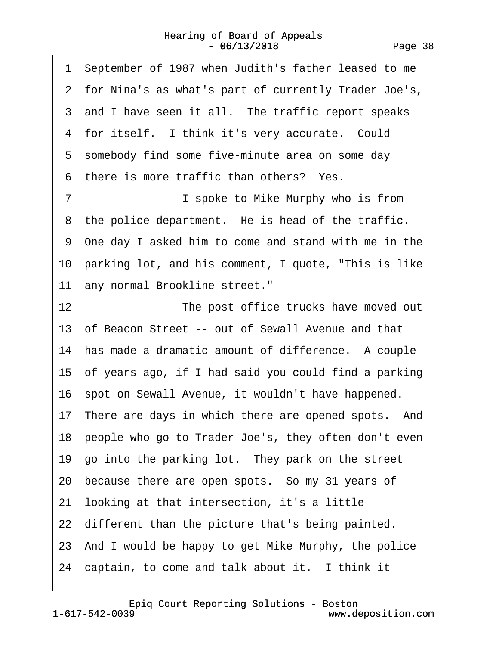<span id="page-37-0"></span>

| 1 September of 1987 when Judith's father leased to me   |
|---------------------------------------------------------|
| 2 for Nina's as what's part of currently Trader Joe's,  |
| 3 and I have seen it all. The traffic report speaks     |
| 4 for itself. I think it's very accurate. Could         |
| 5 somebody find some five-minute area on some day       |
| 6 there is more traffic than others? Yes.               |
| $\overline{7}$<br>I spoke to Mike Murphy who is from    |
| 8 the police department. He is head of the traffic.     |
| 9 One day I asked him to come and stand with me in the  |
| 10 parking lot, and his comment, I quote, "This is like |
| 11 any normal Brookline street."                        |
| 12<br>The post office trucks have moved out             |
| 13 of Beacon Street -- out of Sewall Avenue and that    |
| 14 has made a dramatic amount of difference. A couple   |
| 15 of years ago, if I had said you could find a parking |
| 16 spot on Sewall Avenue, it wouldn't have happened.    |
| 17 There are days in which there are opened spots. And  |
| 18 people who go to Trader Joe's, they often don't even |
| 19 go into the parking lot. They park on the street     |
| 20 because there are open spots. So my 31 years of      |
| 21 looking at that intersection, it's a little          |
| 22 different than the picture that's being painted.     |
| 23 And I would be happy to get Mike Murphy, the police  |
| 24 captain, to come and talk about it. I think it       |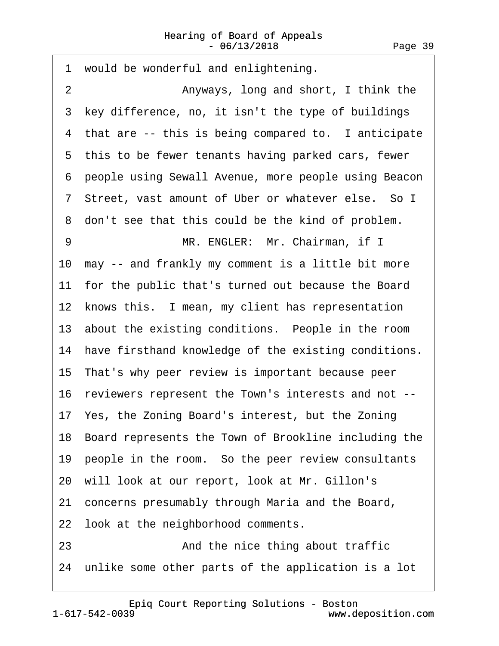<span id="page-38-0"></span>1 would be wonderful and enlightening. 2 **Anyways, long and short, I think the** 3 key difference, no, it isn't the type of buildings 4 that are -- this is being compared to. I anticipate 5 this to be fewer tenants having parked cars, fewer ·6· people using Sewall Avenue, more people using Beacon 7 Street, vast amount of Uber or whatever else. So I 8 don't see that this could be the kind of problem. 9 MR. ENGLER: Mr. Chairman, if I 10· may -- and frankly my comment is a little bit more 11 for the public that's turned out because the Board 12 knows this. I mean, my client has representation 13 about the existing conditions. People in the room 14 have firsthand knowledge of the existing conditions. 15· That's why peer review is important because peer 16· reviewers represent the Town's interests and not -- 17· Yes, the Zoning Board's interest, but the Zoning 18· Board represents the Town of Brookline including the 19 people in the room. So the peer review consultants 20· will look at our report, look at Mr. Gillon's 21· concerns presumably through Maria and the Board, 22 look at the neighborhood comments. 23 **• 23** And the nice thing about traffic 24 unlike some other parts of the application is a lot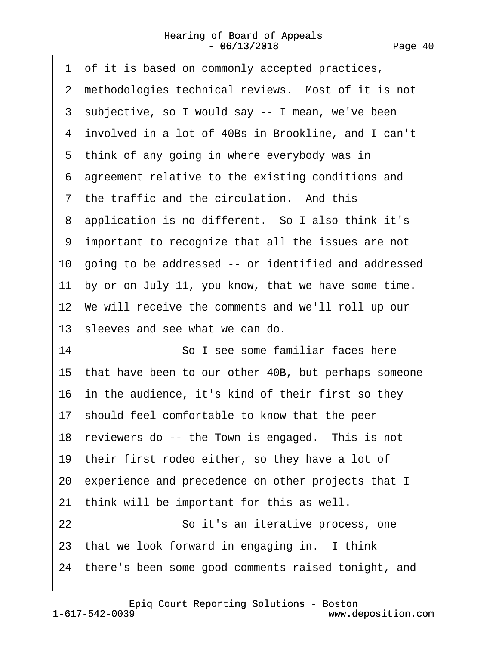<span id="page-39-0"></span>

| 1 of it is based on commonly accepted practices,        |
|---------------------------------------------------------|
| 2 methodologies technical reviews. Most of it is not    |
| 3 subjective, so I would say -- I mean, we've been      |
| 4 involved in a lot of 40Bs in Brookline, and I can't   |
| 5 think of any going in where everybody was in          |
| 6 agreement relative to the existing conditions and     |
| 7 the traffic and the circulation. And this             |
| 8 application is no different. So I also think it's     |
| 9 important to recognize that all the issues are not    |
| 10 going to be addressed -- or identified and addressed |
| 11 by or on July 11, you know, that we have some time.  |
| 12 We will receive the comments and we'll roll up our   |
| 13 sleeves and see what we can do.                      |
| 14<br>So I see some familiar faces here                 |
| 15 that have been to our other 40B, but perhaps someone |
| 16 in the audience, it's kind of their first so they    |
| 17 should feel comfortable to know that the peer        |
| 18 reviewers do -- the Town is engaged. This is not     |
| 19 their first rodeo either, so they have a lot of      |
| 20 experience and precedence on other projects that I   |
| 21 think will be important for this as well.            |
| 22<br>So it's an iterative process, one                 |
| 23 that we look forward in engaging in. I think         |
| 24 there's been some good comments raised tonight, and  |
|                                                         |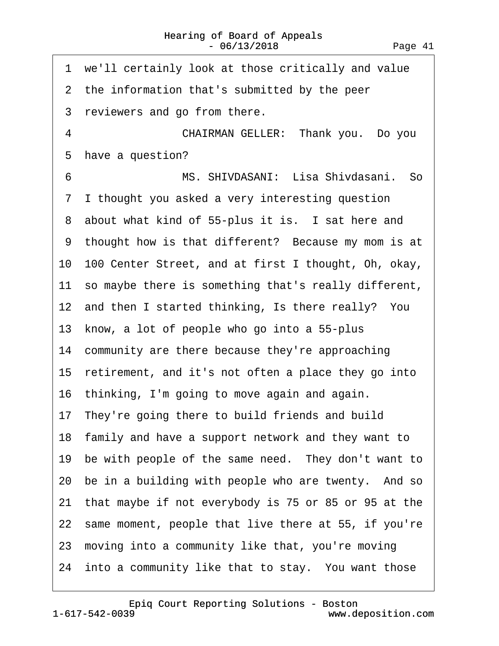<span id="page-40-0"></span>

| 1 we'll certainly look at those critically and value    |
|---------------------------------------------------------|
| 2 the information that's submitted by the peer          |
| 3 reviewers and go from there.                          |
| $\overline{4}$<br>CHAIRMAN GELLER: Thank you. Do you    |
| 5 have a question?                                      |
| MS. SHIVDASANI: Lisa Shivdasani. So<br>6                |
| I thought you asked a very interesting question<br>7    |
| 8 about what kind of 55-plus it is. I sat here and      |
| 9 thought how is that different? Because my mom is at   |
| 10 100 Center Street, and at first I thought, Oh, okay, |
| 11 so maybe there is something that's really different, |
| 12 and then I started thinking, Is there really? You    |
| 13 know, a lot of people who go into a 55-plus          |
| 14 community are there because they're approaching      |
| 15 retirement, and it's not often a place they go into  |
| 16 thinking, I'm going to move again and again.         |
| 17 They're going there to build friends and build       |
| 18 family and have a support network and they want to   |
| 19 be with people of the same need. They don't want to  |
| 20 be in a building with people who are twenty. And so  |
| 21 that maybe if not everybody is 75 or 85 or 95 at the |
| 22 same moment, people that live there at 55, if you're |
| 23 moving into a community like that, you're moving     |
| 24 into a community like that to stay. You want those   |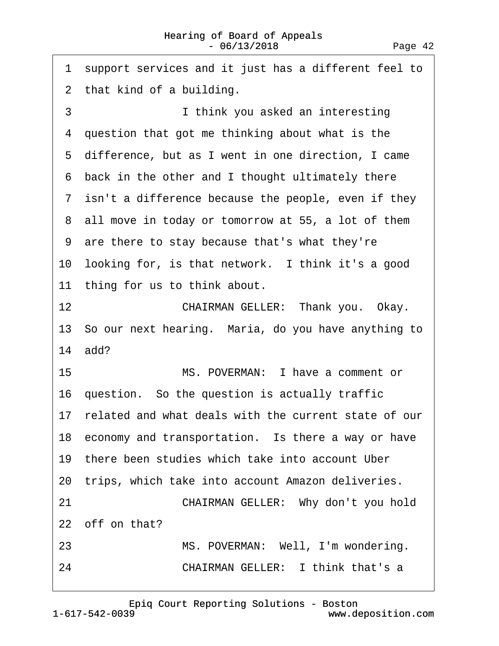<span id="page-41-0"></span>·1· support services and it just has a different feel to 2 that kind of a building. 3 **I** think you asked an interesting 4 question that got me thinking about what is the ·5· difference, but as I went in one direction, I came 6 back in the other and I thought ultimately there 7 isn't a difference because the people, even if they 8 all move in today or tomorrow at 55, a lot of them ·9· are there to stay because that's what they're 10 looking for, is that network. I think it's a good 11 thing for us to think about. 12 **CHAIRMAN GELLER: Thank you. Okay.** 13 So our next hearing. Maria, do you have anything to 14· add? 15· · · · · · · · ·MS. POVERMAN:· I have a comment or 16 question. So the question is actually traffic 17 related and what deals with the current state of our 18 economy and transportation. Is there a way or have 19 there been studies which take into account Uber 20 trips, which take into account Amazon deliveries. 21 **CHAIRMAN GELLER: Why don't you hold** 22 off on that? 23 MS. POVERMAN: Well, I'm wondering. 24 **CHAIRMAN GELLER:** I think that's a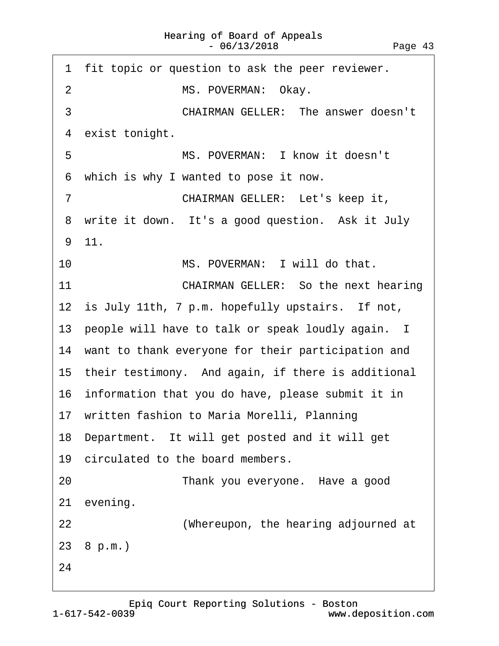<span id="page-42-0"></span>

|    | 1 fit topic or question to ask the peer reviewer.     |
|----|-------------------------------------------------------|
| 2  | MS. POVERMAN: Okay.                                   |
| 3  | <b>CHAIRMAN GELLER: The answer doesn't</b>            |
| 4  | exist tonight.                                        |
| 5  | MS. POVERMAN: I know it doesn't                       |
|    | 6 which is why I wanted to pose it now.               |
| 7  | CHAIRMAN GELLER: Let's keep it,                       |
|    | 8 write it down. It's a good question. Ask it July    |
|    | 9 11.                                                 |
| 10 | MS. POVERMAN: I will do that.                         |
| 11 | <b>CHAIRMAN GELLER: So the next hearing</b>           |
|    | 12 is July 11th, 7 p.m. hopefully upstairs. If not,   |
|    | 13 people will have to talk or speak loudly again. I  |
|    | 14 want to thank everyone for their participation and |
|    | 15 their testimony. And again, if there is additional |
|    | 16 information that you do have, please submit it in  |
|    | 17 written fashion to Maria Morelli, Planning         |
|    | 18 Department. It will get posted and it will get     |
|    | 19 circulated to the board members.                   |
| 20 | Thank you everyone. Have a good                       |
|    | 21 evening.                                           |
| 22 | (Whereupon, the hearing adjourned at                  |
|    | 23 8 p.m.)                                            |
| 24 |                                                       |
|    |                                                       |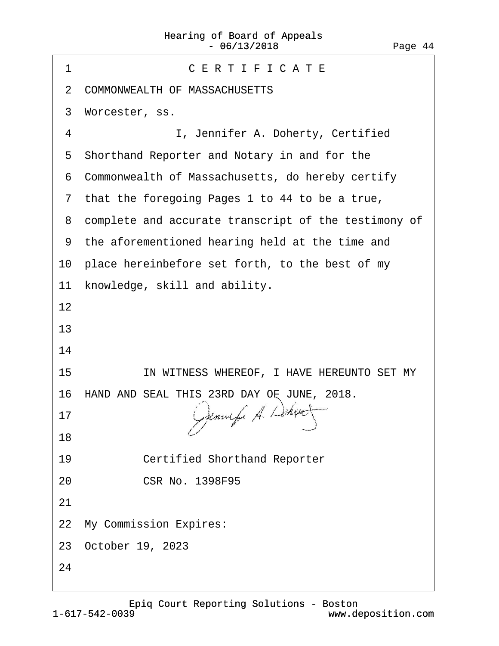| CERTIFICATE<br>1                                       |
|--------------------------------------------------------|
| 2 COMMONWEALTH OF MASSACHUSETTS                        |
| Worcester, ss.<br>3                                    |
| 4<br>I, Jennifer A. Doherty, Certified                 |
| 5 Shorthand Reporter and Notary in and for the         |
| Commonwealth of Massachusetts, do hereby certify<br>6  |
| 7 that the foregoing Pages 1 to 44 to be a true,       |
| 8 complete and accurate transcript of the testimony of |
| 9 the aforementioned hearing held at the time and      |
| 10 place hereinbefore set forth, to the best of my     |
| knowledge, skill and ability.<br>11                    |
| 12                                                     |
| 13                                                     |
| 14                                                     |
| IN WITNESS WHEREOF, I HAVE HEREUNTO SET MY<br>15       |
| 16 HAND AND SEAL THIS 23RD DAY OF JUNE, 2018.          |
| 17                                                     |
| 18                                                     |
| 19<br><b>Certified Shorthand Reporter</b>              |
| <b>CSR No. 1398F95</b><br>20                           |
| 21                                                     |
| 22 My Commission Expires:                              |
| 23 October 19, 2023                                    |
| 24                                                     |
|                                                        |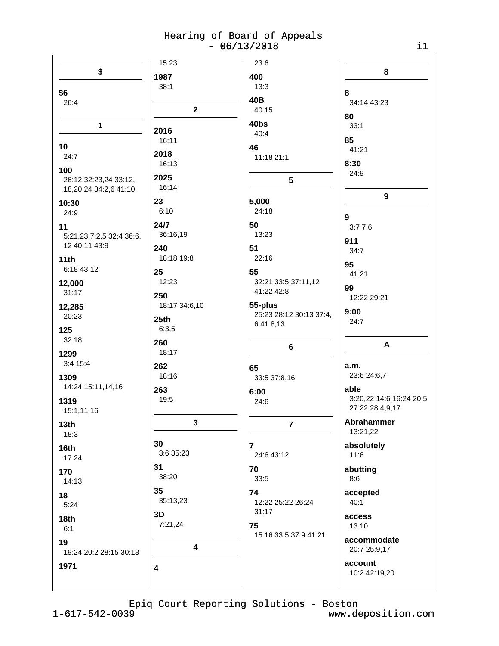|                          | 15:23         | 23:6                                 |                         |
|--------------------------|---------------|--------------------------------------|-------------------------|
| \$                       | 1987          | 400                                  | $\bf 8$                 |
| \$6                      | 38:1          | 13:3                                 | 8                       |
| 26:4                     |               | 40B                                  | 34:14 43:23             |
|                          | $\mathbf{2}$  | 40:15                                | 80                      |
| $\mathbf{1}$             |               | 40bs                                 | 33:1                    |
|                          | 2016          | 40:4                                 | 85                      |
| 10                       | 16:11         | 46                                   | 41:21                   |
| 24:7                     | 2018          | 11:18 21:1                           |                         |
| 100                      | 16:13         |                                      | 8:30<br>24:9            |
| 26:12 32:23,24 33:12,    | 2025          | 5                                    |                         |
| 18,20,24 34:2,6 41:10    | 16:14         |                                      | $\boldsymbol{9}$        |
| 10:30                    | 23            | 5,000                                |                         |
| 24:9                     | 6:10          | 24:18                                | 9                       |
| 11                       | 24/7          | 50                                   | 3:77:6                  |
| 5:21,23 7:2,5 32:4 36:6, | 36:16,19      | 13:23                                | 911                     |
| 12 40:11 43:9            | 240           | 51                                   | 34:7                    |
| 11th                     | 18:18 19:8    | 22:16                                | 95                      |
| 6:18 43:12               | 25            | 55                                   | 41:21                   |
| 12,000                   | 12:23         | 32:21 33:5 37:11,12                  | 99                      |
| 31:17                    | 250           | 41:22 42:8                           | 12:22 29:21             |
| 12,285                   | 18:17 34:6,10 | 55-plus                              | 9:00                    |
| 20:23                    | 25th          | 25:23 28:12 30:13 37:4,<br>6 41:8,13 | 24:7                    |
| 125                      | 6:3,5         |                                      |                         |
| 32:18                    | 260           | $6\phantom{a}$                       | A                       |
| 1299                     | 18:17         |                                      |                         |
| 3:4 15:4                 | 262           | 65                                   | a.m.                    |
| 1309                     | 18:16         | 33:5 37:8,16                         | 23:6 24:6,7             |
| 14:24 15:11,14,16        | 263           | 6:00                                 | able                    |
| 1319                     | 19:5          | 24:6                                 | 3:20,22 14:6 16:24 20:5 |
| 15:1,11,16               |               |                                      | 27:22 28:4,9,17         |
| 13th                     | 3             | 7                                    | Abrahammer              |
| 18:3                     |               |                                      | 13:21,22                |
| 16th                     | 30            | $\overline{7}$                       | absolutely              |
| 17:24                    | 3:6 35:23     | 24:6 43:12                           | 11:6                    |
| 170                      | 31            | 70                                   | abutting                |
| 14:13                    | 38:20         | 33:5                                 | 8:6                     |
| 18                       | 35            | 74                                   | accepted                |
| 5:24                     | 35:13,23      | 12:22 25:22 26:24                    | 40:1                    |
| 18th                     | 3D            | 31:17                                | access                  |
| 6:1                      | 7:21,24       | 75                                   | 13:10                   |
| 19                       |               | 15:16 33:5 37:9 41:21                | accommodate             |
| 19:24 20:2 28:15 30:18   | 4             |                                      | 20:7 25:9,17            |
| 1971                     | 4             |                                      | account                 |
|                          |               |                                      | 10:2 42:19,20           |
|                          |               |                                      |                         |

Epiq Court Reporting Solutions - Boston  $1 - 617 - 542 - 0039$ www.deposition.com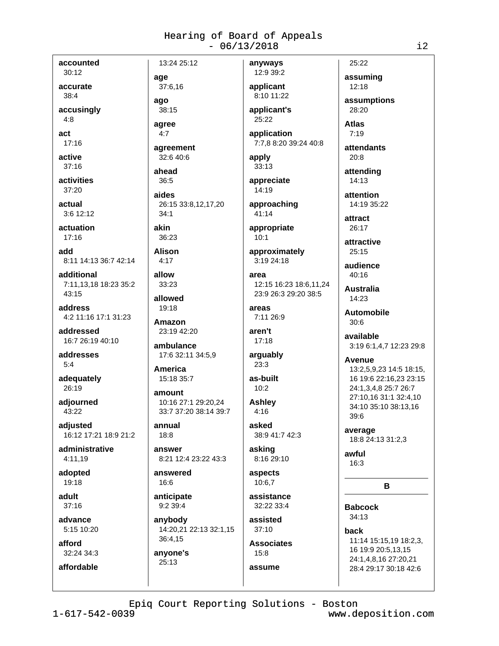accounted  $30:12$ 

accurate

 $38:4$ 

accusingly

 $4:8$ 

act  $17:16$ 

active

 $37:16$ 

activities 37:20

actual  $3:6$  12:12

actuation  $17:16$ 

hhe 8:11 14:13 36:7 42:14

additional 7:11.13.18 18:23 35:2 43:15

address 4:2 11:16 17:1 31:23

addressed 16:7 26:19 40:10

addresses  $5:4$ 

adequately 26:19

adjourned 43:22

adiusted 16:12 17:21 18:9 21:2

administrative 4:11.19

adopted 19:18

adult  $37:16$ 

advance 5:15 10:20

afford 32:24 34:3

affordable

ago  $38:15$ agree  $4:7$ 

13:24 25:12

age

37:6,16

agreement 32:6 40:6

ahead 36:5

aides 26:15 33:8,12,17,20  $34:1$ 

akin 36:23

**Alison**  $4:17$ 

allow 33:23

allowed 19:18

Amazon 23:19 42:20

ambulance 17:6 32:11 34:5,9

**America** 15:18 35:7

amount 10:16 27:1 29:20,24 33:7 37:20 38:14 39:7

annual 18:8

answer 8:21 12:4 23:22 43:3

answered 16:6

anticipate 9:2 39:4

anybody 14:20,21 22:13 32:1,15 36:4,15

anyone's 25:13

12:9 39:2 applicant 8:10 11:22

anyways

applicant's 25:22

application 7:7,8 8:20 39:24 40:8

apply 33:13

appreciate 14:19

approaching 41:14

appropriate  $10:1$ 

approximately 3:19 24:18

area 12:15 16:23 18:6.11.24 23:9 26:3 29:20 38:5

areas 7:11 26:9

aren't  $17:18$ 

arguably  $23:3$ 

as-built  $10:2$ **Ashley** 

 $4:16$ asked 38:9 41:7 42:3

asking 8:16 29:10

aspects 10:6.7

assistance 32:22 33:4

assisted  $37:10$ 

> **Associates**  $15:8$

assume

assuming  $12:18$ 

25:22

assumptions 28:20

**Atlas**  $7:19$ 

attendants  $20:8$ 

attending 14:13

attention 14:19 35:22

attract 26:17

attractive  $25:15$ 

audience 40:16

**Australia** 14:23

**Automobile**  $30:6$ 

available 3:19 6:1,4,7 12:23 29:8

Avenue

13:2,5,9,23 14:5 18:15, 16 19:6 22:16,23 23:15 24:1,3,4,8 25:7 26:7 27:10,16 31:1 32:4,10 34:10 35:10 38:13,16  $39:6$ 

average 18:8 24:13 31:2,3

awful  $16:3$ 

B

**Babcock**  $34:13$ 

back 11:14 15:15.19 18:2.3. 16 19:9 20:5,13,15 24:1,4,8,16 27:20,21 28:4 29:17 30:18 42:6

Epiq Court Reporting Solutions - Boston

 $1 - 617 - 542 - 0039$ 

www.deposition.com

 $i2$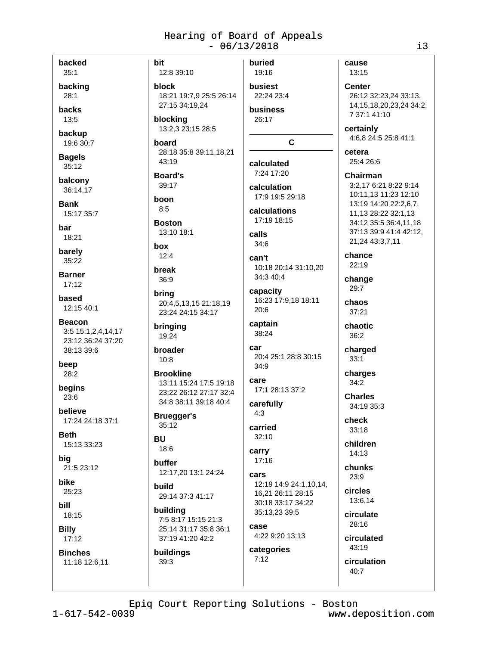backed  $35:1$ 

backing  $28:1$ 

**hacks** 13:5

backup

19:6 30:7

**Bagels**  $35:12$ 

balcony 36:14.17

**Bank** 15:17 35:7

bar 18:21

barely 35:22

**Barner**  $17:12$ 

based 12:15 40:1

**Beacon** 3:5 15:1,2,4,14,17 23:12 36:24 37:20 38:13 39:6

beep  $28:2$ 

begins  $23:6$ 

believe 17:24 24:18 37:1

**Beth** 15:13 33:23

bia 21:5 23:12

bike  $25:23$ 

**bill** 18:15

**Billy** 

 $17:12$ **Binches** 

11:18 12:6,11

bit 12:8 39:10

block 18:21 19:7.9 25:5 26:14 27:15 34:19,24

blocking 13:2,3 23:15 28:5

board 28:18 35:8 39:11,18,21 43:19

#### **Board's** 39:17

boon  $8:5$ 

**Boston** 13:10 18:1

hox  $12:4$ 

break  $36:9$ 

bring 20:4,5,13,15 21:18,19 23:24 24:15 34:17

bringing 19:24

broader  $10:8$ 

**Brookline** 13:11 15:24 17:5 19:18 23:22 26:12 27:17 32:4 34:8 38:11 39:18 40:4

**Bruegger's** 35:12

## **BU**

 $18:6$ buffer 12:17,20 13:1 24:24

build 29:14 37:3 41:17

building 7:5 8:17 15:15 21:3 25:14 31:17 35:8 36:1 37:19 41:20 42:2

buildings 39:3

buried 19:16

busiest 22:24 23:4 **business** 26:17

C.

calculated 7:24 17:20

calculation 17:9 19:5 29:18

calculations 17:19 18:15

calls  $34:6$ 

can't

10:18 20:14 31:10,20 34:3 40:4 capacity

16:23 17:9,18 18:11 20:6

captain 38:24

car 20:4 25:1 28:8 30:15 34:9

care 17:1 28:13 37:2

carefully  $4:3$ 

carried  $32:10$ 

carry  $17:16$ 

cars 12:19 14:9 24:1,10,14, 16.21 26:11 28:15 30:18 33:17 34:22

35:13,23 39:5 case 4:22 9:20 13:13

categories  $7:12$ 

cause 13:15

**Center** 26:12 32:23,24 33:13, 14, 15, 18, 20, 23, 24 34: 2, 7 37:1 41:10

certainly 4:6.8 24:5 25:8 41:1

cetera 25:4 26:6

Chairman

3:2,17 6:21 8:22 9:14 10:11.13 11:23 12:10 13:19 14:20 22:2,6,7, 11.13 28:22 32:1.13 34:12 35:5 36:4.11.18 37:13 39:9 41:4 42:12, 21,24 43:3,7,11

chance  $22:19$ 

change  $29:7$ 

chaos  $37:21$ 

> chaotic  $36:2$

> > charged  $33:1$

charges  $34:2$ 

**Charles** 34:19 35:3

check 33:18

children  $14.13$ 

chunks  $23:9$ 

circles 13:6,14

circulate 28:16

> circulated 43:19

circulation  $40:7$ 

Epiq Court Reporting Solutions - Boston

 $1 - 617 - 542 - 0039$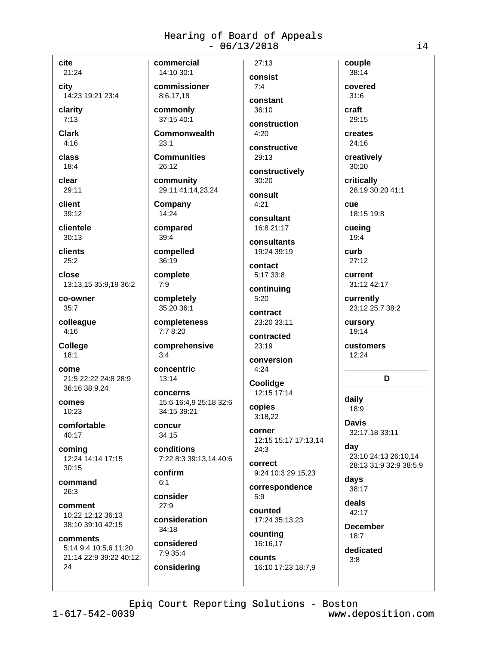cite 21:24

city

14:23 19:21 23:4

clarity

 $7:13$ 

**Clark**  $4:16$ 

class

 $18:4$ clear

29:11 client

 $39:12$ 

clientele  $30:13$ 

clients  $25:2$ 

close 13:13.15 35:9.19 36:2

co-owner  $35:7$ 

colleague  $4:16$ 

**College**  $18:1$ 

come 21:5 22:22 24:8 28:9 36:16 38:9,24

comes 10:23

comfortable 40:17

coming 12:24 14:14 17:15  $30.15$ 

command 26:3

comment 10:22 12:12 36:13 38:10 39:10 42:15

comments 5:14 9:4 10:5,6 11:20 21:14 22:9 39:22 40:12, 24

14:10 30:1 commissioner 8:6.17.18

commercial

commonly 37:15 40:1

**Commonwealth**  $23:1$ 

**Communities**  $26:12$ 

community 29:11 41:14.23.24

Company 14:24

compared  $39:4$ 

compelled 36:19

complete

 $7:9$ 

completely 35:20 36:1

completeness  $7:78:20$ 

comprehensive  $3:4$ 

concentric  $13:14$ 

concerns

15:6 16:4.9 25:18 32:6 34:15 39:21

concur 34:15

conditions 7:22 8:3 39:13,14 40:6

confirm  $6:1$ 

consider  $27.9$ 

consideration  $34:18$ 

considered 7:9 35:4

considering

consist  $7:4$ constant  $36:10$ 

 $27:13$ 

construction  $4:20$ 

constructive 29:13

constructively 30:20

consult  $4.21$ 

consultant 16:8 21:17

consultants 19:24 39:19

contact 5:17 33:8

continuing

 $5:20$ contract

23:20 33:11 contracted

23:19

conversion  $4:24$ 

Coolidae 12:15 17:14

copies  $3:18,22$ 

corner 12:15 15:17 17:13,14  $24:3$ 

correct 9:24 10:3 29:15,23

correspondence  $5.9$ 

counted 17:24 35:13,23 counting

16:16,17 counts

16:10 17:23 18:7,9

38:14 covered  $31:6$ craft

couple

29:15 creates  $24:16$ 

creatively 30:20

> critically 28:19 30:20 41:1

**CUA** 18:15 19:8

cueing  $19:4$ 

curb  $27:12$ 

current 31:12 42:17

currently 23:12 25:7 38:2

cursory 19:14

customers  $12:24$ 

#### D

daily 18:9

**Davis** 32:17,18 33:11

day 23:10 24:13 26:10,14 28:13 31:9 32:9 38:5,9

days 38:17

deals 42:17

**December**  $18:7$ 

dedicated

 $3:8$ 

 $1 - 617 - 542 - 0039$ 

www.deposition.com

 $14$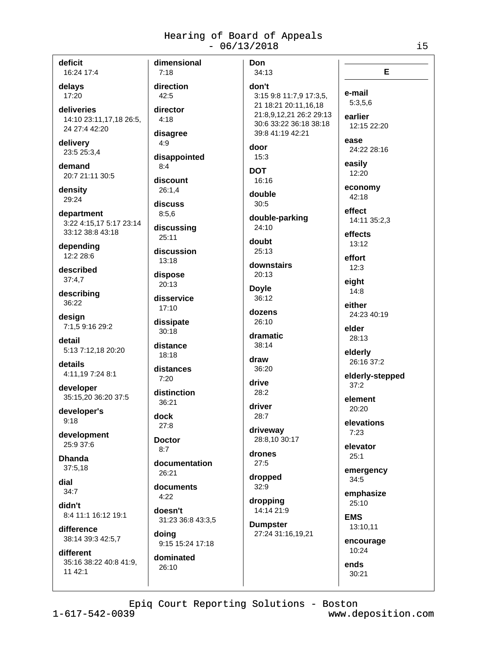deficit

16:24 17:4

#### delays 17:20

deliveries 14:10 23:11,17,18 26:5, 24 27:4 42:20

delivery 23:5 25:3,4

demand 20:7 21:11 30:5

density 29:24

department 3:22 4:15,17 5:17 23:14 33:12 38:8 43:18

depending 12:2 28:6

described  $37:4.7$ 

describing 36:22

design 7:1.5 9:16 29:2

detail 5:13 7:12,18 20:20

details 4:11,19 7:24 8:1

developer 35:15,20 36:20 37:5

developer's  $9:18$ 

development 25:9.37:6

**Dhanda** 37:5.18

dial  $34:7$ 

didn't 8:4 11:1 16:12 19:1

difference 38:14 39:3 42:5.7

different 35:16 38:22 40:8 41:9.  $1142:1$ 

dimensional  $7:18$ direction  $42:5$ director  $4:18$ disagree  $4:9$ disappointed  $8:4$ discount  $26:1.4$ discuss  $8:5.6$ discussing  $25:11$ discussion 13:18 dispose  $20:13$ disservice  $17:10$ dissipate  $30:18$ distance 18:18 distances  $7:20$ distinction 36:21 dock  $27.8$ **Doctor**  $8:7$ documentation  $26.21$ documents  $4:22$ doesn't 31:23 36:8 43:3,5 doina 9:15 15:24 17:18 dominated 26:10

Don 34:13 don't 3:15 9:8 11:7,9 17:3,5, 21 18:21 20:11.16.18 21:8,9,12,21 26:2 29:13 30:6 33:22 36:18 38:18 39:8 41:19 42:21 door  $15:3$ **DOT** 16:16 double  $30:5$ double-parking 24:10 doubt 25:13 downstairs  $20:13$ **Doyle** 36:12 dozens  $26:10$ dramatic  $38:14$ draw 36:20 drive 28:2 driver  $28:7$ driveway 28:8.10 30:17 drones  $27:5$ dropped  $32:9$ dropping 14:14 21:9 **Dumpster** 27:24 31:16,19,21

e-mail  $5:3,5,6$ earlier 12:15 22:20 ease 24:22 28:16 easilv  $12:20$ economy 42:18 effect 14:11 35:2,3 effects  $13:12$ effort  $12:3$ eight  $14:8$ either 24:23 40:19 elder 28:13 elderly 26:16 37:2 elderly-stepped  $37:2$ 

element 20:20

elevations  $7:23$ 

elevator  $25:1$ 

emergency  $34:5$ 

emphasize 25:10

**EMS** 13:10,11

encourage 10:24

ends 30:21

 $1 - 617 - 542 - 0039$ 

www.deposition.com

E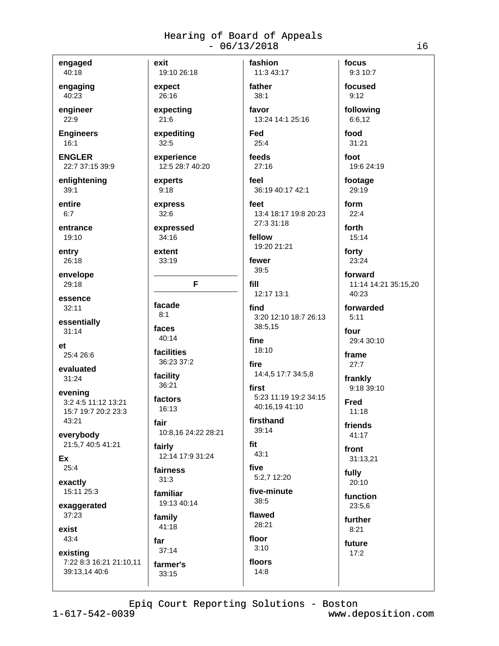engaged 40:18

engaging 40:23

engineer 22:9

**Engineers**  $16:1$ 

**ENGLER** 22:7 37:15 39:9

enlightening  $39:1$ 

entire  $6:7$ 

entrance  $19:10$ 

entry 26:18

envelope 29:18

essence  $32:11$ 

essentially  $31:14$ 

 $et$ 25:4 26:6

evaluated  $31:24$ 

evening 3:2 4:5 11:12 13:21 15:7 19:7 20:2 23:3 43:21

everybody 21:5,7 40:5 41:21

Ex  $25:4$ 

exactly 15:11 25:3

exaggerated 37:23

exist

 $43:4$ existing 7:22 8:3 16:21 21:10,11

39:13.14 40:6

facade  $8:1$ faces

40:14

36:21

16:13

10:8,16 24:22 28:21

fairly 12:14 17:9 31:24

fairness  $31:3$ 

19:13 40:14

 $41:18$ 

far  $37:14$ 

farmer's

33:15

father  $38:1$ 

expediting

experience 12:5 28:7 40:20

experts  $9:18$ 

exit

expect

26:16

 $21:6$ 

 $32:5$ 

expecting

19:10 26:18

express  $32:6$ 

expressed  $34:16$ 

extent 33:19

F

facilities 36:23 37:2

facility

factors

fair

familiar

family

favor 13:24 14:1 25:16 Fed  $25:4$ 

fashion

11:3 43:17

feeds

 $27:16$ feel

36:19 40:17 42:1

feet 13:4 18:17 19:8 20:23 27:3 31:18

fellow 19:20 21:21

fewer 39:5

fill

12:17 13:1 find 3:20 12:10 18:7 26:13 38:5,15

fine

18:10 fire

14:4,5 17:7 34:5,8 first 5:23 11:19 19:2 34:15

firsthand 39:14

40:16.19 41:10

fit  $43:1$ 

five 5:2.7 12:20

five-minute  $38:5$ 

floor

 $3:10$ 

floors

 $14:8$ 

flawed 28:21

focused  $9:12$ following 6:6,12 food

focus 9:3 10:7

 $31:21$ 

foot 19:6 24:19

footage 29:19

form  $22:4$ 

forth  $15:14$ 

forty

23:24

forward 11:14 14:21 35:15.20 40:23

forwarded

 $5:11$ four

29:4 30:10 frame

 $27:7$ 

frankly 9:18 39:10

**Fred**  $11:18$ 

friends

41:17 front

31:13,21

fully 20:10

> function 23:5.6

further

 $8:21$ 

future  $17:2$ 

Epiq Court Reporting Solutions - Boston

 $1 - 617 - 542 - 0039$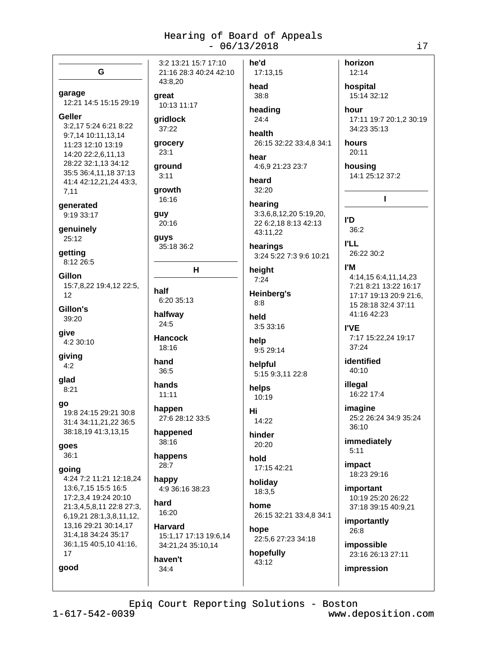| G                                                                                                                                                                          | 3:2 13:21 15:7 17:10<br>21:16 28:3 40:24 42:10                           | he'd<br>17:13,15                                                                                   | horizon<br>12:14                                                                                      |
|----------------------------------------------------------------------------------------------------------------------------------------------------------------------------|--------------------------------------------------------------------------|----------------------------------------------------------------------------------------------------|-------------------------------------------------------------------------------------------------------|
| garage<br>12:21 14:5 15:15 29:19                                                                                                                                           | 43:8,20<br>great<br>10:13 11:17                                          | head<br>38:8                                                                                       | hospital<br>15:14 32:12                                                                               |
| Geller<br>3:2,17 5:24 6:21 8:22<br>9:7,14 10:11,13,14<br>11:23 12:10 13:19<br>14:20 22:2,6,11,13<br>28:22 32:1,13 34:12<br>35:5 36:4,11,18 37:13<br>41:4 42:12,21,24 43:3, | gridlock<br>37:22<br>grocery<br>23:1<br>ground<br>3:11<br>growth         | heading<br>24:4<br>health<br>26:15 32:22 33:4,8 34:1<br>hear<br>4:6,9 21:23 23:7<br>heard<br>32:20 | hour<br>17:11 19:7 20:1,2 30:19<br>34:23 35:13<br>hours<br>20:11<br>housing<br>14:1 25:12 37:2        |
| 7,11<br>generated<br>9:19 33:17<br>genuinely                                                                                                                               | 16:16<br>guy<br>20:16                                                    | hearing<br>3:3,6,8,12,20 5:19,20,<br>22 6:2,18 8:13 42:13                                          | L<br>l'D<br>36:2                                                                                      |
| 25:12<br>getting<br>8:12 26:5                                                                                                                                              | guys<br>35:18 36:2                                                       | 43:11,22<br>hearings<br>3:24 5:22 7:3 9:6 10:21                                                    | <b>I'LL</b><br>26:22 30:2                                                                             |
| Gillon<br>15:7,8,22 19:4,12 22:5,<br>12                                                                                                                                    | н<br>half<br>6:20 35:13                                                  | height<br>7:24<br><b>Heinberg's</b><br>8:8                                                         | l'M<br>4:14,15 6:4,11,14,23<br>7:21 8:21 13:22 16:17<br>17:17 19:13 20:9 21:6,<br>15 28:18 32:4 37:11 |
| Gillon's<br>39:20<br>give<br>4:2 30:10                                                                                                                                     | halfway<br>24:5<br><b>Hancock</b>                                        | held<br>3:5 33:16<br>help                                                                          | 41:16 42:23<br><b>I'VE</b><br>7:17 15:22,24 19:17                                                     |
| giving<br>4:2                                                                                                                                                              | 18:16<br>hand<br>36:5                                                    | 9:5 29:14<br>helpful<br>5:15 9:3,11 22:8                                                           | 37:24<br>identified<br>40:10                                                                          |
| glad<br>8:21<br>go                                                                                                                                                         | hands<br>11:11<br>happen                                                 | helps<br>10:19<br>Hi                                                                               | illegal<br>16:22 17:4<br>imagine                                                                      |
| 19:8 24:15 29:21 30:8<br>31:4 34:11,21,22 36:5<br>38:18,19 41:3,13,15                                                                                                      | 27:6 28:12 33:5<br>happened<br>38:16                                     | 14:22<br>hinder                                                                                    | 25:2 26:24 34:9 35:24<br>36:10<br>immediately                                                         |
| goes<br>36:1<br>going<br>4:24 7:2 11:21 12:18,24<br>13:6,7,15 15:5 16:5<br>17:2,3,4 19:24 20:10<br>21:3,4,5,8,11 22:8 27:3,                                                | happens<br>28:7<br>happy<br>4:9 36:16 38:23<br>hard<br>16:20             | 20:20<br>hold<br>17:15 42:21<br>holiday<br>18:3,5<br>home                                          | 5:11<br>impact<br>18:23 29:16<br>important<br>10:19 25:20 26:22<br>37:18 39:15 40:9,21                |
| 6, 19, 21 28: 1, 3, 8, 11, 12,<br>13,16 29:21 30:14,17<br>31:4,18 34:24 35:17<br>36:1,15 40:5,10 41:16,<br>17<br>good                                                      | Harvard<br>15:1,17 17:13 19:6,14<br>34:21,24 35:10,14<br>haven't<br>34:4 | 26:15 32:21 33:4,8 34:1<br>hope<br>22:5,6 27:23 34:18<br>hopefully<br>43:12                        | importantly<br>26:8<br>impossible<br>23:16 26:13 27:11<br>impression                                  |

i7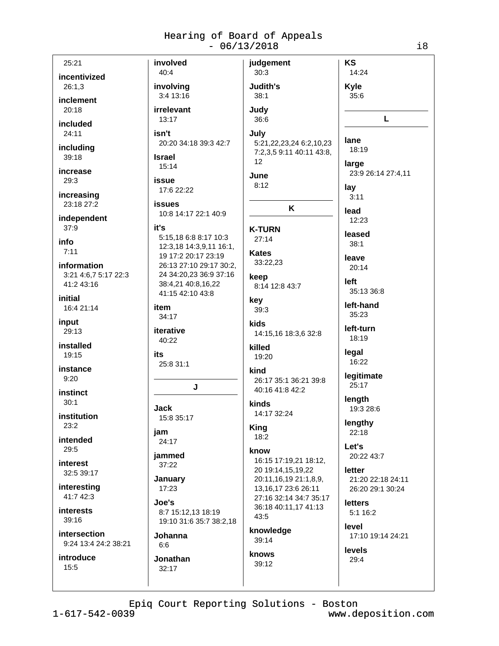| 25:21                               | involved                                          | judgement                       | KS                 |
|-------------------------------------|---------------------------------------------------|---------------------------------|--------------------|
| incentivized                        | 40:4                                              | 30:3                            | 14:24              |
| 26:1,3                              | involving                                         | Judith's                        | <b>Kyle</b>        |
| inclement                           | 3:4 13:16                                         | 38:1                            | 35:6               |
| 20:18                               | irrelevant                                        | Judy                            |                    |
|                                     | 13:17                                             | 36:6                            | L                  |
| included<br>24:11                   | isn't                                             |                                 |                    |
|                                     | 20:20 34:18 39:3 42:7                             | July<br>5:21,22,23,24 6:2,10,23 | lane               |
| including                           |                                                   | 7:2,3,5 9:11 40:11 43:8,        | 18:19              |
| 39:18                               | <b>Israel</b><br>15:14                            | 12                              | large              |
| increase                            |                                                   | June                            | 23:9 26:14 27:4,11 |
| 29:3                                | issue                                             | 8:12                            | lay                |
| increasing                          | 17:6 22:22                                        |                                 | 3:11               |
| 23:18 27:2                          | <b>issues</b>                                     | K                               |                    |
| independent                         | 10:8 14:17 22:1 40:9                              |                                 | lead<br>12:23      |
| 37:9                                | it's                                              | <b>K-TURN</b>                   |                    |
| info                                | 5:15,18 6:8 8:17 10:3                             | 27:14                           | leased             |
| 7:11                                | 12:3,18 14:3,9,11 16:1,                           | <b>Kates</b>                    | 38:1               |
|                                     | 19 17:2 20:17 23:19                               | 33:22,23                        | leave              |
| information<br>3:21 4:6,7 5:17 22:3 | 26:13 27:10 29:17 30:2,<br>24 34:20,23 36:9 37:16 |                                 | 20:14              |
| 41:2 43:16                          | 38:4,21 40:8,16,22                                | keep                            | left               |
|                                     | 41:15 42:10 43:8                                  | 8:14 12:8 43:7                  | 35:13 36:8         |
| initial                             | item                                              | key                             | left-hand          |
| 16:4 21:14                          | 34:17                                             | 39:3                            | 35:23              |
| input                               |                                                   | kids                            | left-turn          |
| 29:13                               | iterative                                         | 14:15,16 18:3,6 32:8            | 18:19              |
| installed                           | 40:22                                             | killed                          |                    |
| 19:15                               | its                                               | 19:20                           | legal<br>16:22     |
| instance                            | 25:8 31:1                                         | kind                            |                    |
| 9:20                                |                                                   | 26:17 35:1 36:21 39:8           | legitimate         |
| instinct                            | J                                                 | 40:16 41:8 42:2                 | 25:17              |
| 30:1                                |                                                   | kinds                           | length             |
| institution                         | <b>Jack</b>                                       | 14:17 32:24                     | 19:3 28:6          |
| 23:2                                | 15:8 35:17                                        | <b>King</b>                     | lengthy            |
|                                     | jam                                               | 18:2                            | 22:18              |
| intended<br>29:5                    | 24:17                                             |                                 | Let's              |
|                                     | jammed                                            | know<br>16:15 17:19,21 18:12,   | 20:22 43:7         |
| interest<br>32:5 39:17              | 37:22                                             | 20 19:14,15,19,22               | letter             |
|                                     | January                                           | 20:11,16,19 21:1,8,9,           | 21:20 22:18 24:11  |
| interesting                         | 17:23                                             | 13, 16, 17 23: 6 26: 11         | 26:20 29:1 30:24   |
| 41:7 42:3                           | Joe's                                             | 27:16 32:14 34:7 35:17          | letters            |
| interests                           | 8:7 15:12,13 18:19                                | 36:18 40:11,17 41:13            | 5:1 16:2           |
| 39:16                               | 19:10 31:6 35:7 38:2,18                           | 43:5                            | level              |
| intersection                        | Johanna                                           | knowledge                       | 17:10 19:14 24:21  |
| 9:24 13:4 24:2 38:21                | 6:6                                               | 39:14                           |                    |
| <i>introduce</i>                    | Jonathan                                          | knows                           | levels<br>29:4     |
| 15:5                                | 32:17                                             | 39:12                           |                    |
|                                     |                                                   |                                 |                    |
|                                     |                                                   |                                 |                    |

Epiq Court Reporting Solutions - Boston

 $1 - 617 - 542 - 0039$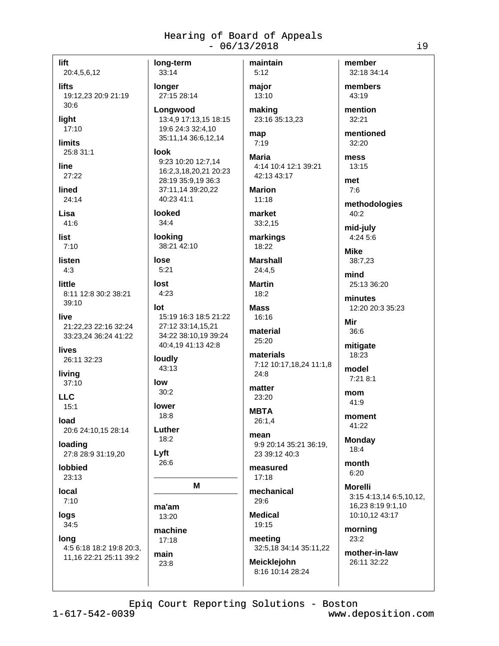lift 20:4,5,6,12 **lifts** 19:12.23 20:9 21:19  $30:6$ light 17:10 **limits** 25:8 31:1 line 27:22 lined  $24:14$ Lisa 41:6 list  $7.10$ listen  $4:3$ little 8:11 12:8 30:2 38:21 39:10 live 21:22,23 22:16 32:24 33:23,24 36:24 41:22 lives 26:11 32:23 living  $37:10$  $11C$  $15:1$ load 20:6 24:10,15 28:14 loading 27:8 28:9 31:19,20 **Iobbied**  $23:13$ local  $7:10$ 

logs  $34:5$ 

lona 4:5 6:18 18:2 19:8 20:3, 11,16 22:21 25:11 39:2

long-term maintain 33:14 longer 27:15 28:14 Lonawood 13:4,9 17:13,15 18:15 19:6 24:3 32:4,10 map 35:11,14 36:6,12,14 look **Maria** 9:23 10:20 12:7,14 16:2,3,18,20,21 20:23 28:19 35:9,19 36:3 37:11,14 39:20,22 40:23 41:1 looked market  $34:4$ looking markings 38:21 42:10 lose **Marshall**  $5:21$ lost  $4:23$ **Mass** 15:19 16:3 18:5 21:22 27:12 33:14,15,21 34:22 38:10,19 39:24 40:4.19 41:13 42:8 loudly 43:13  $30:2$ lower 18:8 Luther  $18:2$ Lyft 26:6 M ma'am 13:20 machine

lot

low

 $17:18$ 

main

23:8

 $5:12$ major 13:10 making 23:16 35:13,23

 $7:19$ 

4:14 10:4 12:1 39:21 42:13 43:17

**Marion**  $11:18$ 

 $33:2,15$ 

18:22

24:4.5 **Martin** 

 $18:2$ 

 $16:16$ 

material 25:20

materials 7:12 10:17,18,24 11:1,8  $24:8$ 

matter 23:20

**MBTA**  $26:1,4$ 

mean 9:9 20:14 35:21 36:19. 23 39:12 40:3

measured  $17:18$ 

mechanical  $29:6$ 

**Medical** 19:15

meeting 32:5,18 34:14 35:11,22

Meicklejohn 8:16 10:14 28:24 member 32:18 34:14 members

43:19 mention

32:21 mentioned

 $32:20$ mess

13:15

met

 $7:6$ methodologies 40:2

mid-july

 $4:245:6$ 

**Mike** 38:7.23

mind 25:13 36:20

minutes 12:20 20:3 35:23

Mir  $36:6$ 

mitigate 18:23

 $7:218:1$ mom 41:9

model

moment 41:22

**Monday** 18:4

month  $6:20$ 

**Morelli** 3:15 4:13,14 6:5,10,12, 16,23 8:19 9:1,10 10:10,12 43:17

morning  $23:2$ 

mother-in-law 26:11 32:22

Epiq Court Reporting Solutions - Boston

 $1 - 617 - 542 - 0039$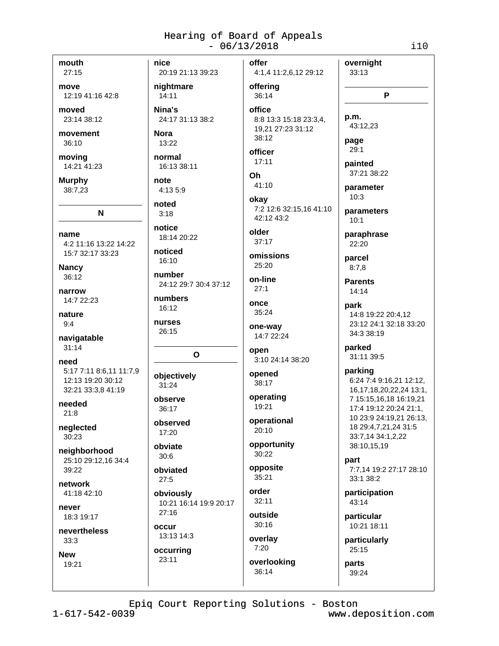mouth

 $27:15$ 

move 12:19 41:16 42:8

moved 23:14 38:12

movement

 $36:10$ 

moving 14:21 41:23

**Murphy** 38:7.23

name 4:2 11:16 13:22 14:22 15:7 32:17 33:23

N

**Nancy** 36:12

narrow 14:7 22:23

nature  $9:4$ 

navigatable  $31:14$ 

need 5:17 7:11 8:6,11 11:7,9 12:13 19:20 30:12 32:21 33:3,8 41:19

needed  $21:8$ 

neglected 30:23

neighborhood 25:10 29:12,16 34:4  $39.22$ 

network 41:18 42:10

never 18:3 19:17

nevertheless  $33:3$ 

**New** 19:21 nice offer 20:19 21:13 39:23 nightmare offering  $14:11$ Nina's office 24:17 31:13 38:2 **Nora**  $13:22$ normal 16:13 38:11 note 4:13 5:9 noted  $3:18$ notice 18:14 20:22 noticed 16:10 number 24:12 29:7 30:4 37:12 numbers 16:12

nurses 26:15

### $\mathbf{o}$

objectively 31:24 observe

36:17

observed  $17:20$ 

obviate  $30:6$ 

obviated  $27:5$ 

obviously 10:21 16:14 19:9 20:17  $27:16$ 

occur 13:13 14:3

occurring  $23:11$ 

38:12 officer  $17:11$ Oh 41:10 okav 7:2 12:6 32:15,16 41:10 42:12 43:2 older  $37:17$ omissions 25:20

36:14

4:1,4 11:2,6,12 29:12

8:8 13:3 15:18 23:3,4,

19,21 27:23 31:12

on-line  $27:1$ 

once 35:24

one-way 14:7 22:24

open 3:10 24:14 38:20

opened 38:17

operating 19:21 operational

20:10

opportunity 30:22

opposite 35:21

order  $32:11$ 

outside  $30:16$ 

overlay  $7:20$ 

overlooking 36:14

painted  $37.21.38.22$ parameter  $10:3$ parameters

overnight

P

33:13

p.m.

page

 $29:1$ 

43:12,23

 $10:1$ 

paraphrase 22:20

parcel  $8:7,8$ 

> **Parents**  $14:14$

park 14:8 19:22 20:4,12 23:12 24:1 32:18 33:20 34:3 38:19

parked 31:11 39:5

parking

6:24 7:4 9:16,21 12:12, 16,17,18,20,22,24 13:1, 7 15:15,16,18 16:19,21 17:4 19:12 20:24 21:1, 10 23:9 24:19,21 26:13, 18 29:4,7,21,24 31:5 33:7,14 34:1,2,22 38:10,15,19

part 7:7,14 19:2 27:17 28:10 33:1 38:2

participation  $43:14$ 

particular 10:21 18:11

particularly 25:15

parts 39:24

Epiq Court Reporting Solutions - Boston

 $1 - 617 - 542 - 0039$ 

www.deposition.com

 $i10$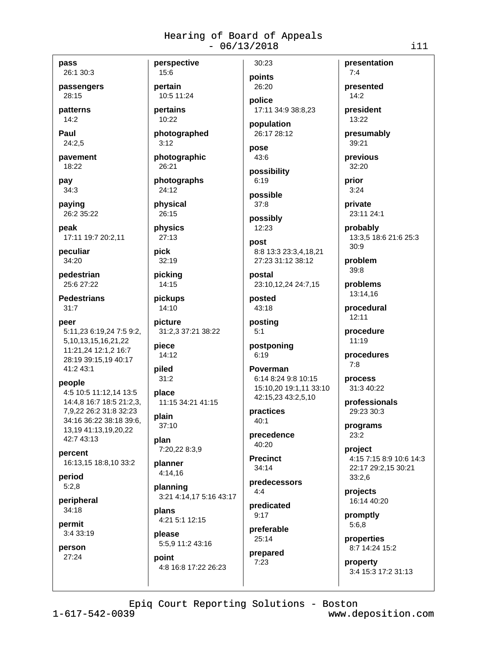pass

26:1 30:3 passengers

28:15 patterns

 $14:2$ 

Paul 24:2.5

pavement 18:22

pay  $34:3$ 

paying

26:2 35:22 peak

17:11 19:7 20:2.11

peculiar 34:20

pedestrian 25:6 27:22

**Pedestrians**  $31:7$ 

peer 5:11,23 6:19,24 7:5 9:2, 5, 10, 13, 15, 16, 21, 22 11:21,24 12:1,2 16:7 28:19 39:15,19 40:17 41:2 43:1

people

4:5 10:5 11:12.14 13:5 14:4,8 16:7 18:5 21:2,3, 7,9,22 26:2 31:8 32:23 34:16 36:22 38:18 39:6, 13,19 41:13,19,20,22 42:7 43:13

percent 16:13,15 18:8,10 33:2

period  $5:2.8$ 

peripheral  $34:18$ 

permit 3:4 33:19

person 27:24

pertain 10:5 11:24

perspective

15:6

pertains 10:22

photographed  $3:12$ 

photographic 26:21

photographs 24:12

physical 26:15

physics  $27:13$ 

**pick**  $32:19$ 

picking 14:15

pickups 14:10

picture 31:2,3 37:21 38:22

piece 14:12

piled  $31:2$ 

place 11:15 34:21 41:15

plain  $37:10$ 

plan 7:20,22 8:3,9

planner  $4:14,16$ 

planning 3:21 4:14,17 5:16 43:17 plans

4:21 5:1 12:15 please

5:5,9 11:2 43:16 point 4:8 16:8 17:22 26:23 points 26:20 police

30:23

17:11 34:9 38:8.23

population 26:17 28:12

pose  $43:6$ 

possibility  $6:19$ 

possible  $37:8$ 

possibly 12:23

post 8:8 13:3 23:3,4,18,21 27:23 31:12 38:12

postal 23:10,12,24 24:7,15

posted 43:18

posting  $5:1$ 

postponing  $6:19$ 

Poverman 6:14 8:24 9:8 10:15 15:10.20 19:1.11 33:10 42:15,23 43:2,5,10

practices  $40.1$ 

precedence  $40:20$ 

**Precinct**  $34:14$ 

predecessors  $4:4$ predicated

 $9:17$ preferable

25:14 prepared

 $7:23$ 

 $7:4$ presented  $14:2$ 

presentation

president 13:22

presumably 39:21

previous 32:20

prior  $3:24$ 

private 23:11 24:1

probably 13:3.5 18:6 21:6 25:3  $30.9$ 

problem  $39:8$ 

problems 13:14,16

procedural  $12:11$ 

procedure 11:19

procedures  $7:8$ 

process 31:3 40:22

professionals 29:23 30:3

programs 23:2

project 4:15 7:15 8:9 10:6 14:3 22:17 29:2,15 30:21  $33:2,6$ 

projects 16:14 40:20

promptly  $5:6,8$ 

properties 8:7 14:24 15:2

property 3:4 15:3 17:2 31:13

Epiq Court Reporting Solutions - Boston

 $1 - 617 - 542 - 0039$ 

www.deposition.com

 $111$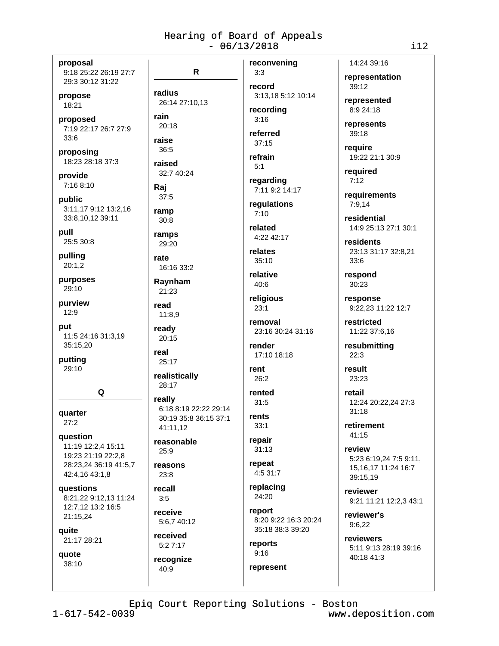proposal 9:18 25:22 26:19 27:7 29:3 30:12 31:22

propose 18:21

proposed 7:19 22:17 26:7 27:9  $33:6$ 

proposing 18:23 28:18 37:3

provide 7:16 8:10

public 3:11,17 9:12 13:2,16 33:8,10,12 39:11

pull 25:5 30:8

pulling  $20:1,2$ 

purposes 29:10

purview  $12:9$ 

put 11:5 24:16 31:3,19 35:15,20

putting  $29:10$ 

Q

quarter  $27:2$ 

question 11:19 12:2.4 15:11 19:23 21:19 22:2,8 28:23,24 36:19 41:5,7 42:4,16 43:1,8

questions 8:21.22 9:12.13 11:24 12:7,12 13:2 16:5 21:15,24

quite 21:17 28:21

quote 38:10

reconvening  $\mathsf{R}$ radius 26:14 27:10,13 rain  $20:18$ raise 36:5 refrain raised  $32.740.24$ Rai  $37:5$ ramp  $30:8$ ramps 29:20 rate 16:16 33:2 Raynham 21:23 read 11:8,9 ready  $20:15$ real 25:17 realistically 28:17 really 6:18 8:19 22:22 29:14 30:19 35:8 36:15 37:1 41:11,12 reasonable  $25:9$ reasons  $23.8$ recall  $3:5$ receive 5:6,7 40:12 received  $5:27:17$ 

 $3:3$ record 3:13.18 5:12 10:14

recording  $3:16$ 

referred  $37:15$ 

 $5:1$ regarding

7:11 9:2 14:17

requlations  $7:10$ 

related 4:22 42:17

relates  $35:10$ 

relative  $40:6$ 

religious  $23:1$ 

removal 23:16 30:24 31:16

render 17:10 18:18

rent 26:2

rented  $31:5$ 

rents  $33:1$ 

repair  $31:13$ 

repeat 4:5 31:7

replacing 24:20

report 8:20 9:22 16:3 20:24 35:18 38:3 39:20

reports  $9:16$ represent

14:24 39:16 representation 39:12

represented 8:9 24:18

represents 39:18

require 19:22 21:1 30:9

required  $7:12$ 

requirements 7:9.14

residential 14:9 25:13 27:1 30:1

residents 23:13 31:17 32:8,21 33:6

respond 30:23

response 9:22,23 11:22 12:7

restricted 11:22 37:6,16

resubmitting  $22:3$ 

result 23:23

retail 12:24 20:22,24 27:3  $31:18$ 

retirement 41:15

review 5:23 6:19,24 7:5 9:11, 15, 16, 17 11: 24 16: 7 39:15.19

reviewer 9:21 11:21 12:2,3 43:1

reviewer's 9:6,22

reviewers 5:11 9:13 28:19 39:16 40:18 41:3

Epiq Court Reporting Solutions - Boston

recognize

40:9

 $1 - 617 - 542 - 0039$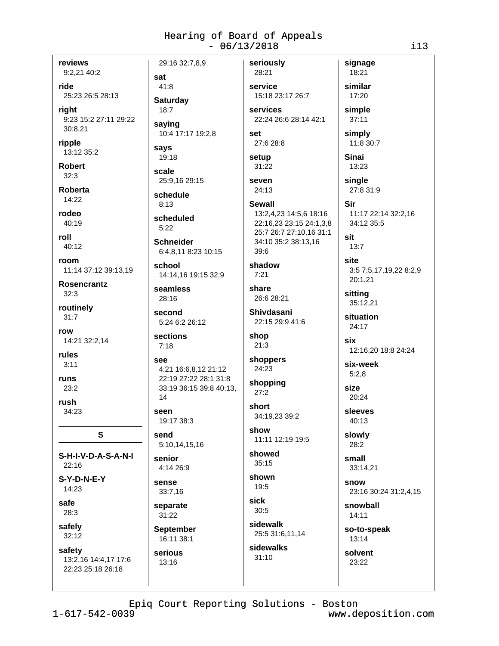reviews

9:2,21 40:2

ride 25:23 26:5 28:13

riaht 9:23 15:2 27:11 29:22 30:8.21

ripple 13:12 35:2

**Robert**  $32:3$ 

**Roberta**  $14:22$ 

rodeo  $40:19$ 

roll  $40.12$ 

room 11:14 37:12 39:13,19

**Rosencrantz**  $32:3$ 

routinely  $31:7$ 

row 14:21 32:2,14

rules  $3:11$ 

runs  $23:2$ 

rush

34:23

S-H-I-V-D-A-S-A-N-I

S

 $22:16$  $S-Y-D-N-E-Y$ 

14:23

safe 28:3

safely 32:12

safety 13:2,16 14:4,17 17:6 22:23 25:18 26:18

29:16 32:7.8.9 sat 41:8 **Saturdav**  $18:7$ saying 10:4 17:17 19:2,8 says 19:18 scale 25:9.16 29:15 schedule **Schneider** 

33:19 36:15 39:8 40:13, 14

seen 19:17 38:3

5:10,14,15,16

sense 33:7,16 separate

31:22 **September** 

serious 13:16

service 15:18 23:17 26:7 services 22:24 26:6 28:14 42:1

13:2,4,23 14:5,6 18:16

22:16,23 23:15 24:1,3,8

25:7 26:7 27:10,16 31:1

34:10 35:2 38:13.16

set 27:6 28:8

setup 31:22

Sewall

seriously

28:21

seven 24:13

 $8.13$ 

scheduled  $5:22$ 

6:4,8,11 8:23 10:15

school 14:14.16 19:15 32:9

seamless  $28:16$ 

second 5:24 6:2 26:12

sections  $7:18$ 

see 4:21 16:6.8.12 21:12 22:19 27:22 28:1 31:8

send

senior 4:14 26:9

16:11 38:1

39:6 shadow  $7:21$ share 26:6 28:21 Shivdasani  $22.1529.9416$ shop

 $21:3$ shoppers 24:23

```
shopping
27:2
```
short 34:19.23 39:2

show 11:11 12:19 19:5 showed

 $35:15$ 

shown  $19:5$ sick

 $30:5$ sidewalk 25:5 31:6,11,14

sidewalks  $31:10$ 

similar 17:20 simple  $37:11$ 

signage

18:21

simply 11:8 30:7

13:23 sinale 27:8 31:9

**Sinai** 

Sir 11:17 22:14 32:2,16

34:12 35:5 sit

 $13.7$ 

site 3:5 7:5,17,19,22 8:2,9 20:1.21

sitting 35:12,21

situation 24:17

> six 12:16,20 18:8 24:24

six-week  $5:2.8$ 

size  $20:24$ 

sleeves  $40:13$ 

slowly 28:2

> small 33:14,21

snow 23:16 30:24 31:2,4,15

snowball  $14:11$ 

so-to-speak 13:14

solvent 23:22

Epiq Court Reporting Solutions - Boston

 $1 - 617 - 542 - 0039$ 

www.deposition.com

 $i13$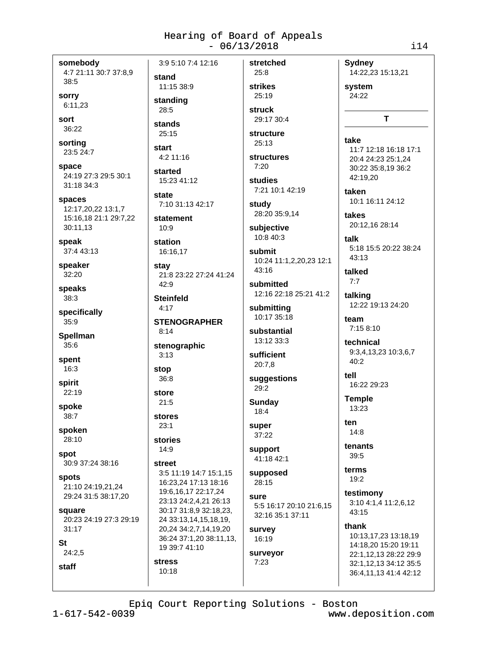somebody 4:7 21:11 30:7 37:8,9 38:5

sorry 6:11,23

sort 36:22

sorting 23:5 24:7

space 24:19 27:3 29:5 30:1 31:18 34:3

spaces 12:17,20,22 13:1,7 15:16,18 21:1 29:7,22 30:11,13

speak 37:4 43:13

speaker 32:20

speaks  $38:3$ 

specifically  $35.9$ 

**Spellman**  $35:6$ 

spent  $16:3$ 

spirit  $22:19$ 

spoke  $38:7$ 

spoken

28:10 spot 30:9 37:24 38:16

**spots** 21:10 24:19.21.24 29:24 31:5 38:17,20

square 20:23 24:19 27:3 29:19

**St** 

staff

 $24:2,5$ 

 $31:17$ 

3:9 5:10 7:4 12:16 stand 11:15 38:9

standing

 $28:5$ stands

 $25:15$ 

start 4:2 11:16

started 15:23 41:12

state 7:10 31:13 42:17

statement  $10.9$ 

station 16:16.17

stay 21:8 23:22 27:24 41:24  $42:9$ 

**Steinfeld**  $4.17$ 

**STENOGRAPHER**  $8:14$ 

stenographic  $3:13$ 

stop  $36:8$ 

store

 $21:5$ stores

 $23:1$ stories

 $14:9$ 

street

 $10:18$ 

3:5 11:19 14:7 15:1.15 16:23.24 17:13 18:16 19:6,16,17 22:17,24 23:13 24:2,4,21 26:13 30:17 31:8,9 32:18,23, 24 33:13,14,15,18,19, 20,24 34:2,7,14,19,20 36:24 37:1,20 38:11,13, 19 39:7 41:10 **stress** 

strikes 25:19 struck

stretched

25:8

29:17 30:4 structure

 $25:13$ 

**structures**  $7:20$ 

studies 7:21 10:1 42:19

study 28:20 35:9,14

subjective 10:8 40:3

submit 10:24 11:1,2,20,23 12:1

43:16

submitted 12:16 22:18 25:21 41:2

submitting 10:17 35:18

substantial 13:12 33:3

sufficient  $20:7.8$ 

suggestions 29:2

Sunday  $18:4$ 

super 37:22

support 41:18 42:1

supposed 28:15

SUITE 5:5 16:17 20:10 21:6.15 32:16 35:1 37:11

survey 16:19

surveyor  $7:23$ 

system 24:22 T

14:22,23 15:13,21

**Sydney** 

#### take

11:7 12:18 16:18 17:1 20:4 24:23 25:1.24 30:22 35:8.19 36:2 42:19,20

taken 10:1 16:11 24:12

takes 20:12,16 28:14

talk 5:18 15:5 20:22 38:24 43:13

talked

 $7:7$ talking

12:22 19:13 24:20

team 7:15 8:10

technical 9:3,4,13,23 10:3,6,7 40:2

tell 16:22 29:23

**Temple** 13:23

ten  $14:8$ 

tenants 39:5

terms 19:2

testimony 3:10 4:1,4 11:2,6,12 43:15

thank

10:13,17,23 13:18,19 14:18.20 15:20 19:11 22:1,12,13 28:22 29:9 32:1,12,13 34:12 35:5 36:4,11,13 41:4 42:12

Epiq Court Reporting Solutions - Boston

 $1 - 617 - 542 - 0039$ 

www.deposition.com

 $i14$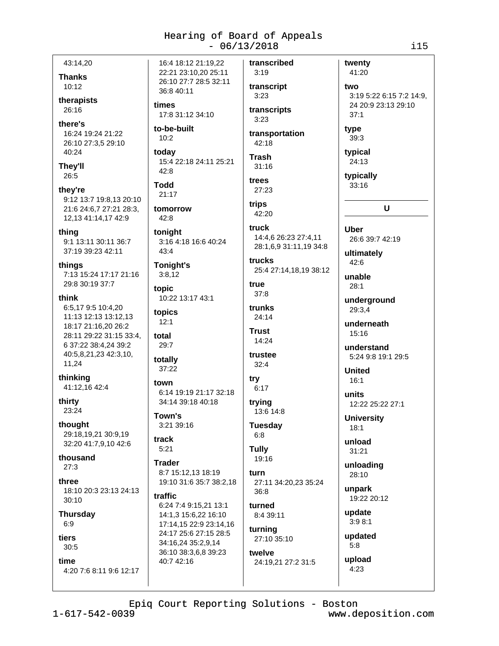43:14.20

**Thanks**  $10:12$ 

therapists  $26:16$ 

there's 16:24 19:24 21:22 26:10 27:3,5 29:10 40:24

They'll 26:5

they're 9:12 13:7 19:8,13 20:10 21:6 24:6,7 27:21 28:3, 12,13 41:14,17 42:9

thing 9:1 13:11 30:11 36:7 37:19 39:23 42:11

thinas 7:13 15:24 17:17 21:16 29:8 30:19 37:7

think 6:5.17 9:5 10:4.20 11:13 12:13 13:12.13 18:17 21:16,20 26:2 28:11 29:22 31:15 33:4, 6 37:22 38:4.24 39:2 40:5,8,21,23 42:3,10, 11,24

thinking 41:12,16 42:4

thirty 23:24

thought 29:18,19,21 30:9,19 32:20 41:7,9,10 42:6

thousand  $27:3$ 

three 18:10 20:3 23:13 24:13  $30:10$ 

**Thursday**  $6:9$ 

#### tiers  $30:5$

time 4:20 7:6 8:11 9:6 12:17 16:4 18:12 21:19.22 22:21 23:10,20 25:11 26:10 27:7 28:5 32:11 36:8 40:11

# times

17:8 31:12 34:10 to-be-built

 $10:2$ today

15:4 22:18 24:11 25:21  $42:8$ 

**Todd**  $21:17$ 

tomorrow  $42:8$ 

tonight 3:16 4:18 16:6 40:24  $43:4$ 

**Tonight's**  $3:8,12$ 

topic 10:22 13:17 43:1

topics  $12.1$ 

total 29:7

totally 37:22

town 6:14 19:19 21:17 32:18 34:14 39:18 40:18

Town's 3:21 39:16

track  $5:21$ 

**Trader** 8:7 15:12.13 18:19 19:10 31:6 35:7 38:2,18

**traffic** 6:24 7:4 9:15,21 13:1 14:1,3 15:6,22 16:10 17:14,15 22:9 23:14,16 24:17 25:6 27:15 28:5 34:16,24 35:2,9,14 36:10 38:3,6,8 39:23 40:7 42:16

```
transcript
3:23transcripts
3:23
```
transcribed

 $3.19$ 

transportation 42:18

**Trash**  $31:16$ trees

## 27:23 trips

42:20 truck

14:4,6 26:23 27:4,11 28:1,6,9 31:11,19 34:8

trucks 25:4 27:14,18,19 38:12

true  $37:8$ 

trunks  $24:14$ 

**Trust** 14:24

```
trustee
32:4
```
try 6:17 trying

13:6 14:8 **Tuesday** 

 $6:8$ **Tully** 

19:16 turn 27:11 34:20,23 35:24

 $36.8$ turned 8:4 39:11

turning

27:10 35:10 twelve 24:19,21 27:2 31:5

3:19 5:22 6:15 7:2 14:9. 24 20:9 23:13 29:10  $37:1$ type  $39:3$ 

typical 24:13

twenty

41:20

two

typically 33:16

 $\mathbf{U}$ 

**Uber** 26:6 39:7 42:19

ultimately 42:6

unable  $28:1$ 

underground 29:3,4

underneath 15:16

understand 5:24 9:8 19:1 29:5

**United**  $16:1$ 

units 12:22 25:22 27:1

**University**  $18:1$ 

unload  $31:21$ 

unloading 28:10

unpark 19:22 20:12

update  $3:98:1$ 

> updated  $5:8$

upload  $4:23$ 

Epiq Court Reporting Solutions - Boston

 $1 - 617 - 542 - 0039$